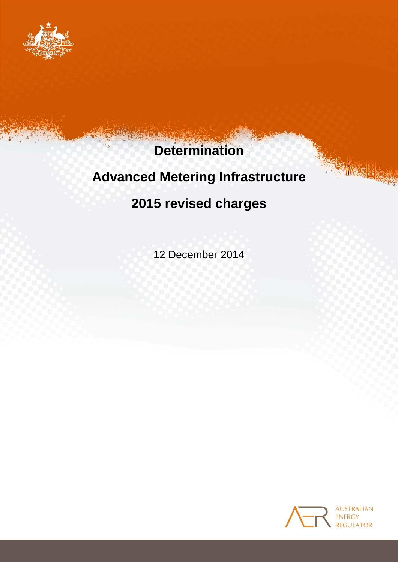

# **Determination**

# **Advanced Metering Infrastructure**

## **2015 revised charges**

12 December 2014



INSTER 2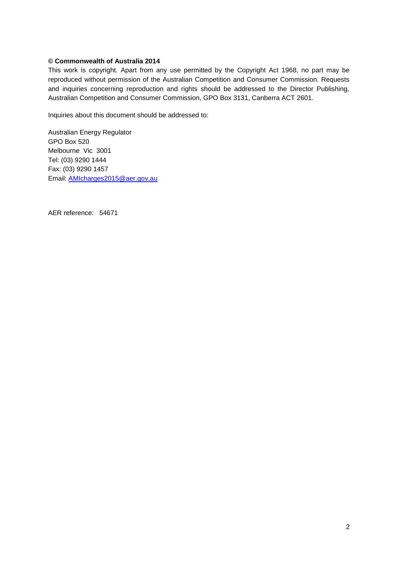#### **© Commonwealth of Australia 2014**

This work is copyright. Apart from any use permitted by the Copyright Act 1968, no part may be reproduced without permission of the Australian Competition and Consumer Commission. Requests and inquiries concerning reproduction and rights should be addressed to the Director Publishing, Australian Competition and Consumer Commission, GPO Box 3131, Canberra ACT 2601.

Inquiries about this document should be addressed to:

Australian Energy Regulator GPO Box 520 Melbourne Vic 3001 Tel: (03) 9290 1444 Fax: (03) 9290 1457 Email: AMIcharges2015@aer.gov.au

AER reference: 54671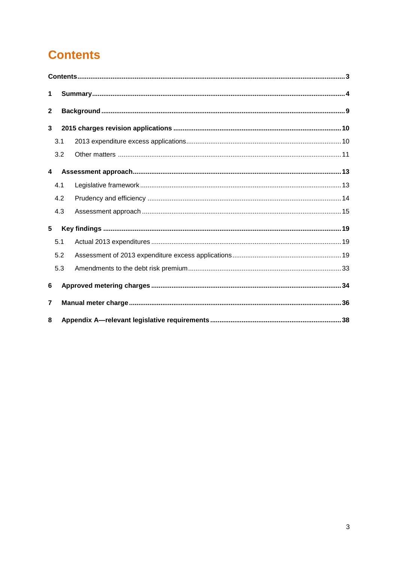## <span id="page-2-0"></span>**Contents**

| 1                       |     |  |  |  |  |
|-------------------------|-----|--|--|--|--|
| $\mathbf{2}$            |     |  |  |  |  |
| 3                       |     |  |  |  |  |
|                         | 3.1 |  |  |  |  |
|                         | 3.2 |  |  |  |  |
| $\overline{\mathbf{4}}$ |     |  |  |  |  |
|                         | 4.1 |  |  |  |  |
|                         | 4.2 |  |  |  |  |
|                         | 4.3 |  |  |  |  |
| $5\phantom{.0}$         |     |  |  |  |  |
|                         | 5.1 |  |  |  |  |
|                         | 5.2 |  |  |  |  |
|                         | 5.3 |  |  |  |  |
| 6                       |     |  |  |  |  |
| 7                       |     |  |  |  |  |
| 8                       |     |  |  |  |  |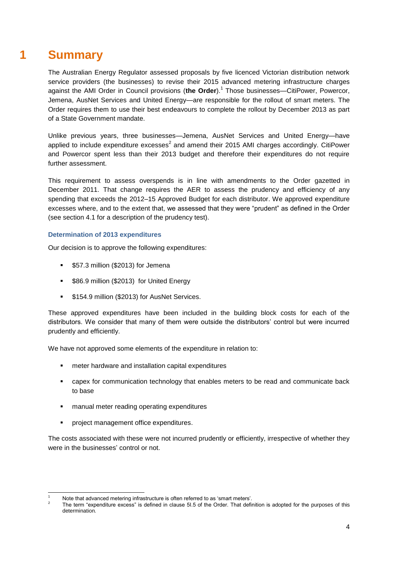## **1 Summary**

<span id="page-3-0"></span>The Australian Energy Regulator assessed proposals by five licenced Victorian distribution network service providers (the businesses) to revise their 2015 advanced metering infrastructure charges against the AMI Order in Council provisions (the Order).<sup>1</sup> Those businesses—CitiPower, Powercor, Jemena, AusNet Services and United Energy—are responsible for the rollout of smart meters. The Order requires them to use their best endeavours to complete the rollout by December 2013 as part of a State Government mandate.

Unlike previous years, three businesses—Jemena, AusNet Services and United Energy—have applied to include expenditure excesses<sup>2</sup> and amend their 2015 AMI charges accordingly. CitiPower and Powercor spent less than their 2013 budget and therefore their expenditures do not require further assessment.

This requirement to assess overspends is in line with amendments to the Order gazetted in December 2011. That change requires the AER to assess the prudency and efficiency of any spending that exceeds the 2012–15 Approved Budget for each distributor. We approved expenditure excesses where, and to the extent that, we assessed that they were "prudent" as defined in the Order (see section [4.1](#page-12-1) for a description of the prudency test).

## **Determination of 2013 expenditures**

Our decision is to approve the following expenditures:

- **557.3 million (\$2013) for Jemena**
- **586.9 million (\$2013) for United Energy**
- **\$154.9 million (\$2013) for AusNet Services.**

These approved expenditures have been included in the building block costs for each of the distributors. We consider that many of them were outside the distributors' control but were incurred prudently and efficiently.

We have not approved some elements of the expenditure in relation to:

- meter hardware and installation capital expenditures
- capex for communication technology that enables meters to be read and communicate back to base
- manual meter reading operating expenditures
- **•** project management office expenditures.

The costs associated with these were not incurred prudently or efficiently, irrespective of whether they were in the businesses' control or not.

<sup>1</sup> Note that advanced metering infrastructure is often referred to as 'smart meters'.

<sup>2</sup> The term "expenditure excess" is defined in clause 5I.5 of the Order. That definition is adopted for the purposes of this determination.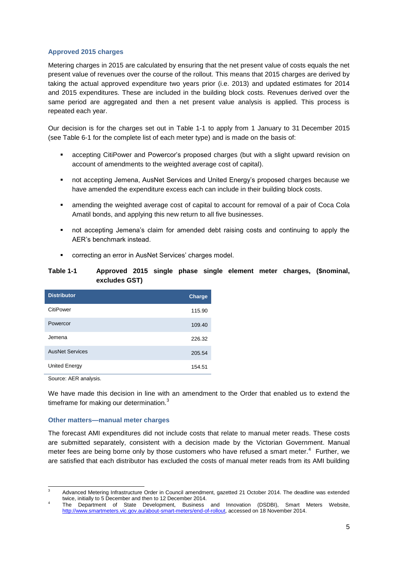### **Approved 2015 charges**

Metering charges in 2015 are calculated by ensuring that the net present value of costs equals the net present value of revenues over the course of the rollout. This means that 2015 charges are derived by taking the actual approved expenditure two years prior (i.e. 2013) and updated estimates for 2014 and 2015 expenditures. These are included in the building block costs. Revenues derived over the same period are aggregated and then a net present value analysis is applied. This process is repeated each year.

Our decision is for the charges set out in [Table 1-1](#page-4-0) to apply from 1 January to 31 December 2015 (see [Table 6-1](#page-34-0) for the complete list of each meter type) and is made on the basis of:

- accepting CitiPower and Powercor's proposed charges (but with a slight upward revision on account of amendments to the weighted average cost of capital).
- not accepting Jemena, AusNet Services and United Energy's proposed charges because we have amended the expenditure excess each can include in their building block costs.
- amending the weighted average cost of capital to account for removal of a pair of Coca Cola Amatil bonds, and applying this new return to all five businesses.
- not accepting Jemena's claim for amended debt raising costs and continuing to apply the AER's benchmark instead.
- correcting an error in AusNet Services' charges model.

### <span id="page-4-0"></span>**Table 1-1 Approved 2015 single phase single element meter charges, (\$nominal, excludes GST)**

| <b>Distributor</b>     | <b>Charge</b> |
|------------------------|---------------|
| CitiPower              | 115.90        |
| Powercor               | 109.40        |
| Jemena                 | 226.32        |
| <b>AusNet Services</b> | 205.54        |
| United Energy          | 154.51        |

Source: AER analysis.

We have made this decision in line with an amendment to the Order that enabled us to extend the timeframe for making our determination.<sup>3</sup>

#### **Other matters—manual meter charges**

The forecast AMI expenditures did not include costs that relate to manual meter reads. These costs are submitted separately, consistent with a decision made by the Victorian Government. Manual meter fees are being borne only by those customers who have refused a smart meter. $4$  Further, we are satisfied that each distributor has excluded the costs of manual meter reads from its AMI building

 $\overline{3}$ <sup>3</sup> Advanced Metering Infrastructure Order in Council amendment, gazetted 21 October 2014. The deadline was extended twice, initially to 5 December and then to 12 December 2014.

<sup>4</sup> The Department of State Development, Business and Innovation (DSDBI), Smart Meters Website, [http://www.smartmeters.vic.gov.au/about-smart-meters/end-of-rollout,](http://www.smartmeters.vic.gov.au/about-smart-meters/end-of-rollout) accessed on 18 November 2014.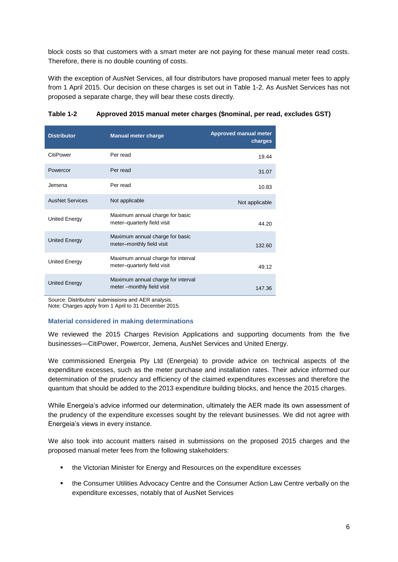block costs so that customers with a smart meter are not paying for these manual meter read costs. Therefore, there is no double counting of costs.

With the exception of AusNet Services, all four distributors have proposed manual meter fees to apply from 1 April 2015. Our decision on these charges is set out in [Table 1-2.](#page-5-0) As AusNet Services has not proposed a separate charge, they will bear these costs directly.

| <b>Distributor</b>     | <b>Manual meter charge</b>                                         | <b>Approved manual meter</b><br>charges |
|------------------------|--------------------------------------------------------------------|-----------------------------------------|
| CitiPower              | Per read                                                           | 19.44                                   |
| Powercor               | Per read                                                           | 31.07                                   |
| Jemena                 | Per read                                                           | 10.83                                   |
| <b>AusNet Services</b> | Not applicable                                                     | Not applicable                          |
| United Energy          | Maximum annual charge for basic<br>meter-quarterly field visit     | 44.20                                   |
| <b>United Energy</b>   | Maximum annual charge for basic<br>meter-monthly field visit       | 132.60                                  |
| <b>United Energy</b>   | Maximum annual charge for interval<br>meter-quarterly field visit  | 49.12                                   |
| <b>United Energy</b>   | Maximum annual charge for interval<br>meter -- monthly field visit | 147.36                                  |

### <span id="page-5-0"></span>**Table 1-2 Approved 2015 manual meter charges (\$nominal, per read, excludes GST)**

Source: Distributors' submissions and AER analysis. Note: Charges apply from 1 April to 31 December 2015.

### **Material considered in making determinations**

We reviewed the 2015 Charges Revision Applications and supporting documents from the five businesses—CitiPower, Powercor, Jemena, AusNet Services and United Energy.

We commissioned Energeia Pty Ltd (Energeia) to provide advice on technical aspects of the expenditure excesses, such as the meter purchase and installation rates. Their advice informed our determination of the prudency and efficiency of the claimed expenditures excesses and therefore the quantum that should be added to the 2013 expenditure building blocks, and hence the 2015 charges.

While Energeia's advice informed our determination, ultimately the AER made its own assessment of the prudency of the expenditure excesses sought by the relevant businesses. We did not agree with Energeia's views in every instance.

We also took into account matters raised in submissions on the proposed 2015 charges and the proposed manual meter fees from the following stakeholders:

- the Victorian Minister for Energy and Resources on the expenditure excesses
- the Consumer Utilities Advocacy Centre and the Consumer Action Law Centre verbally on the expenditure excesses, notably that of AusNet Services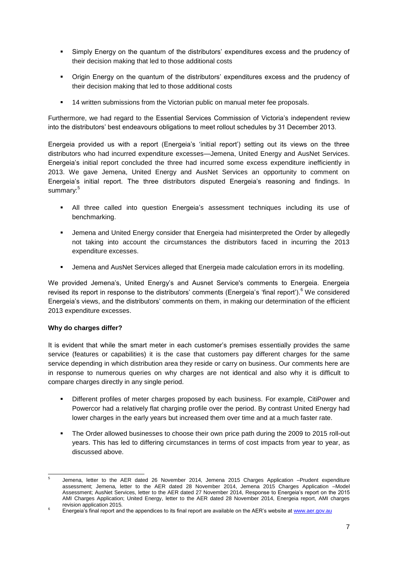- Simply Energy on the quantum of the distributors' expenditures excess and the prudency of their decision making that led to those additional costs
- Origin Energy on the quantum of the distributors' expenditures excess and the prudency of their decision making that led to those additional costs
- 14 written submissions from the Victorian public on manual meter fee proposals.

Furthermore, we had regard to the Essential Services Commission of Victoria's independent review into the distributors' best endeavours obligations to meet rollout schedules by 31 December 2013.

Energeia provided us with a report (Energeia's 'initial report') setting out its views on the three distributors who had incurred expenditure excesses—Jemena, United Energy and AusNet Services. Energeia's initial report concluded the three had incurred some excess expenditure inefficiently in 2013. We gave Jemena, United Energy and AusNet Services an opportunity to comment on Energeia's initial report. The three distributors disputed Energeia's reasoning and findings. In summary:<sup>5</sup>

- All three called into question Energeia's assessment techniques including its use of benchmarking.
- Jemena and United Energy consider that Energeia had misinterpreted the Order by allegedly not taking into account the circumstances the distributors faced in incurring the 2013 expenditure excesses.
- Jemena and AusNet Services alleged that Energeia made calculation errors in its modelling.

We provided Jemena's, United Energy's and Ausnet Service's comments to Energeia. Energeia revised its report in response to the distributors' comments (Energeia's 'final report').<sup>6</sup> We considered Energeia's views, and the distributors' comments on them, in making our determination of the efficient 2013 expenditure excesses.

### **Why do charges differ?**

It is evident that while the smart meter in each customer's premises essentially provides the same service (features or capabilities) it is the case that customers pay different charges for the same service depending in which distribution area they reside or carry on business. Our comments here are in response to numerous queries on why charges are not identical and also why it is difficult to compare charges directly in any single period.

- Different profiles of meter charges proposed by each business. For example, CitiPower and Powercor had a relatively flat charging profile over the period. By contrast United Energy had lower charges in the early years but increased them over time and at a much faster rate.
- The Order allowed businesses to choose their own price path during the 2009 to 2015 roll-out years. This has led to differing circumstances in terms of cost impacts from year to year, as discussed above.

<sup>-</sup>5 Jemena, letter to the AER dated 26 November 2014, Jemena 2015 Charges Application –Prudent expenditure assessment; Jemena, letter to the AER dated 28 November 2014, Jemena 2015 Charges Application –Model Assessment; AusNet Services, letter to the AER dated 27 November 2014, Response to Energeia's report on the 2015 AMI Charges Application; United Energy, letter to the AER dated 28 November 2014, Energeia report, AMI charges revision application 2015.

Energeia's final report and the appendices to its final report are available on the AER's website a[t www.aer.gov.au](http://www.aer.gov.au/)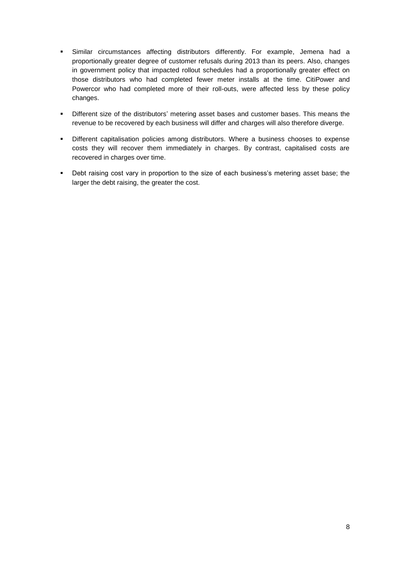- Similar circumstances affecting distributors differently. For example, Jemena had a proportionally greater degree of customer refusals during 2013 than its peers. Also, changes in government policy that impacted rollout schedules had a proportionally greater effect on those distributors who had completed fewer meter installs at the time. CitiPower and Powercor who had completed more of their roll-outs, were affected less by these policy changes.
- Different size of the distributors' metering asset bases and customer bases. This means the revenue to be recovered by each business will differ and charges will also therefore diverge.
- **•** Different capitalisation policies among distributors. Where a business chooses to expense costs they will recover them immediately in charges. By contrast, capitalised costs are recovered in charges over time.
- **•** Debt raising cost vary in proportion to the size of each business's metering asset base; the larger the debt raising, the greater the cost.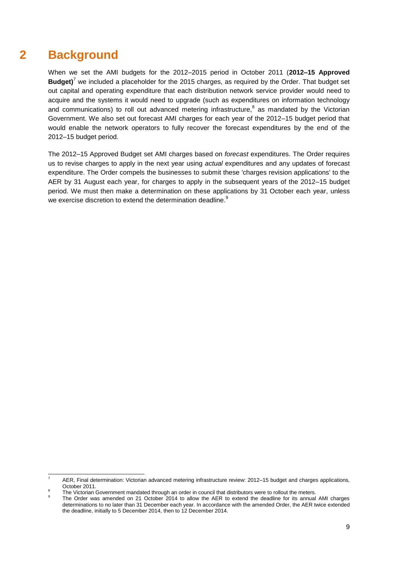## **2 Background**

<span id="page-8-0"></span>When we set the AMI budgets for the 2012–2015 period in October 2011 (**2012–15 Approved Budget)**<sup>7</sup> we included a placeholder for the 2015 charges, as required by the Order. That budget set out capital and operating expenditure that each distribution network service provider would need to acquire and the systems it would need to upgrade (such as expenditures on information technology and communications) to roll out advanced metering infrastructure, $8$  as mandated by the Victorian Government. We also set out forecast AMI charges for each year of the 2012–15 budget period that would enable the network operators to fully recover the forecast expenditures by the end of the 2012–15 budget period.

The 2012–15 Approved Budget set AMI charges based on *forecast* expenditures. The Order requires us to revise charges to apply in the next year using *actual* expenditures and any updates of forecast expenditure. The Order compels the businesses to submit these 'charges revision applications' to the AER by 31 August each year, for charges to apply in the subsequent years of the 2012–15 budget period. We must then make a determination on these applications by 31 October each year, unless we exercise discretion to extend the determination deadline.<sup>9</sup>

<sup>-</sup><sup>7</sup> AER, Final determination: Victorian advanced metering infrastructure review: 2012–15 budget and charges applications*,* October 2011.  $\Omega$ 

The Victorian Government mandated through an order in council that distributors were to rollout the meters.

<sup>9</sup> The Order was amended on 21 October 2014 to allow the AER to extend the deadline for its annual AMI charges determinations to no later than 31 December each year. In accordance with the amended Order, the AER twice extended the deadline, initially to 5 December 2014, then to 12 December 2014.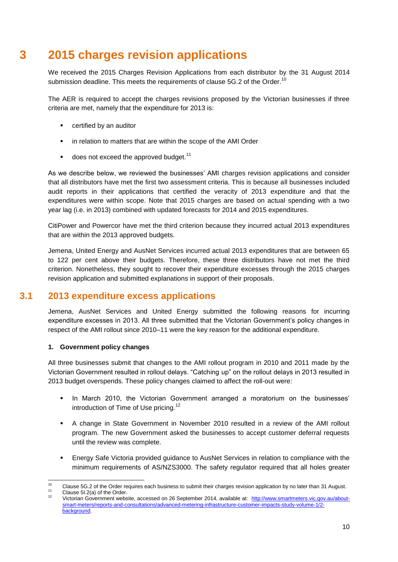## **3 2015 charges revision applications**

<span id="page-9-0"></span>We received the 2015 Charges Revision Applications from each distributor by the 31 August 2014 submission deadline. This meets the requirements of clause 5G.2 of the Order.<sup>10</sup>

The AER is required to accept the charges revisions proposed by the Victorian businesses if three criteria are met, namely that the expenditure for 2013 is:

- **EXEC** certified by an auditor
- **•** in relation to matters that are within the scope of the AMI Order
- $\blacksquare$  does not exceed the approved budget.<sup>11</sup>

As we describe below, we reviewed the businesses' AMI charges revision applications and consider that all distributors have met the first two assessment criteria. This is because all businesses included audit reports in their applications that certified the veracity of 2013 expenditure and that the expenditures were within scope. Note that 2015 charges are based on actual spending with a two year lag (i.e. in 2013) combined with updated forecasts for 2014 and 2015 expenditures.

CitiPower and Powercor have met the third criterion because they incurred actual 2013 expenditures that are within the 2013 approved budgets.

Jemena, United Energy and AusNet Services incurred actual 2013 expenditures that are between 65 to 122 per cent above their budgets. Therefore, these three distributors have not met the third criterion. Nonetheless, they sought to recover their expenditure excesses through the 2015 charges revision application and submitted explanations in support of their proposals.

## **3.1 2013 expenditure excess applications**

<span id="page-9-1"></span>Jemena, AusNet Services and United Energy submitted the following reasons for incurring expenditure excesses in 2013. All three submitted that the Victorian Government's policy changes in respect of the AMI rollout since 2010–11 were the key reason for the additional expenditure.

### **1. Government policy changes**

All three businesses submit that changes to the AMI rollout program in 2010 and 2011 made by the Victorian Government resulted in rollout delays. "Catching up" on the rollout delays in 2013 resulted in 2013 budget overspends. These policy changes claimed to affect the roll-out were:

- In March 2010, the Victorian Government arranged a moratorium on the businesses' introduction of Time of Use pricing. $12$
- A change in State Government in November 2010 resulted in a review of the AMI rollout program. The new Government asked the businesses to accept customer deferral requests until the review was complete.
- Energy Safe Victoria provided guidance to AusNet Services in relation to compliance with the minimum requirements of AS/NZS3000. The safety regulator required that all holes greater

 $10<sup>10</sup>$ <sup>10</sup> Clause 5G.2 of the Order requires each business to submit their charges revision application by no later than 31 August. <sup>11</sup> Clause 5l.2(a) of the Order.

<sup>12</sup> Victorian Government website, accessed on 26 September 2014, available at: [http://www.smartmeters.vic.gov.au/about](http://www.smartmeters.vic.gov.au/about-smart-meters/reports-and-consultations/advanced-metering-infrastructure-customer-impacts-study-volume-1/2-background)[smart-meters/reports-and-consultations/advanced-metering-infrastructure-customer-impacts-study-volume-1/2](http://www.smartmeters.vic.gov.au/about-smart-meters/reports-and-consultations/advanced-metering-infrastructure-customer-impacts-study-volume-1/2-background) [background.](http://www.smartmeters.vic.gov.au/about-smart-meters/reports-and-consultations/advanced-metering-infrastructure-customer-impacts-study-volume-1/2-background)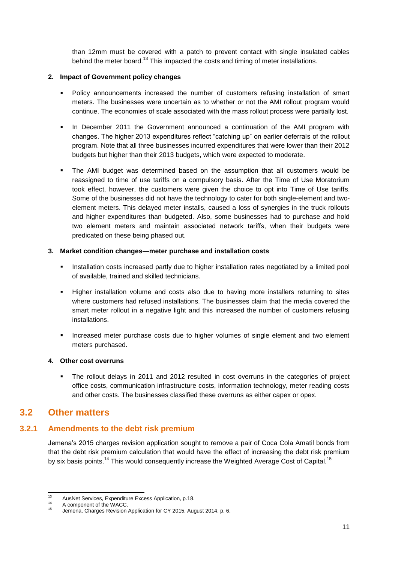than 12mm must be covered with a patch to prevent contact with single insulated cables behind the meter board.<sup>13</sup> This impacted the costs and timing of meter installations.

## **2. Impact of Government policy changes**

- Policy announcements increased the number of customers refusing installation of smart meters. The businesses were uncertain as to whether or not the AMI rollout program would continue. The economies of scale associated with the mass rollout process were partially lost.
- In December 2011 the Government announced a continuation of the AMI program with changes. The higher 2013 expenditures reflect "catching up" on earlier deferrals of the rollout program. Note that all three businesses incurred expenditures that were lower than their 2012 budgets but higher than their 2013 budgets, which were expected to moderate.
- The AMI budget was determined based on the assumption that all customers would be reassigned to time of use tariffs on a compulsory basis. After the Time of Use Moratorium took effect, however, the customers were given the choice to opt into Time of Use tariffs. Some of the businesses did not have the technology to cater for both single-element and twoelement meters. This delayed meter installs, caused a loss of synergies in the truck rollouts and higher expenditures than budgeted. Also, some businesses had to purchase and hold two element meters and maintain associated network tariffs, when their budgets were predicated on these being phased out.

## **3. Market condition changes—meter purchase and installation costs**

- **Installation costs increased partly due to higher installation rates negotiated by a limited pool** of available, trained and skilled technicians.
- Higher installation volume and costs also due to having more installers returning to sites where customers had refused installations. The businesses claim that the media covered the smart meter rollout in a negative light and this increased the number of customers refusing installations.
- Increased meter purchase costs due to higher volumes of single element and two element meters purchased.

### **4. Other cost overruns**

 The rollout delays in 2011 and 2012 resulted in cost overruns in the categories of project office costs, communication infrastructure costs, information technology, meter reading costs and other costs. The businesses classified these overruns as either capex or opex.

## <span id="page-10-0"></span>**3.2 Other matters**

## **3.2.1 Amendments to the debt risk premium**

Jemena's 2015 charges revision application sought to remove a pair of Coca Cola Amatil bonds from that the debt risk premium calculation that would have the effect of increasing the debt risk premium by six basis points.<sup>14</sup> This would consequently increase the Weighted Average Cost of Capital.<sup>15</sup>

 $13 \text{ }$ <sup>13</sup> AusNet Services, Expenditure Excess Application, p.18.

 $^{14}$  A component of the WACC.

Jemena, Charges Revision Application for CY 2015, August 2014, p. 6.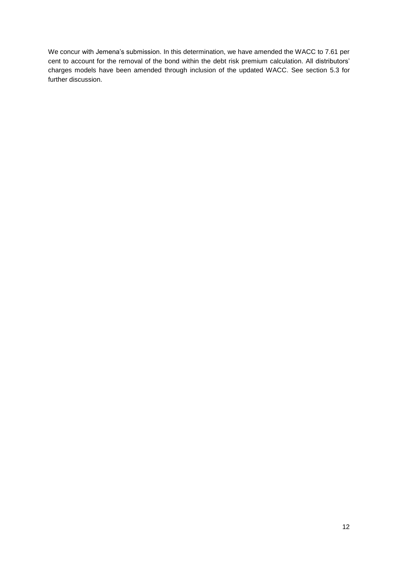We concur with Jemena's submission. In this determination, we have amended the WACC to 7.61 per cent to account for the removal of the bond within the debt risk premium calculation. All distributors' charges models have been amended through inclusion of the updated WACC. See section [5.3](#page-32-0) for further discussion.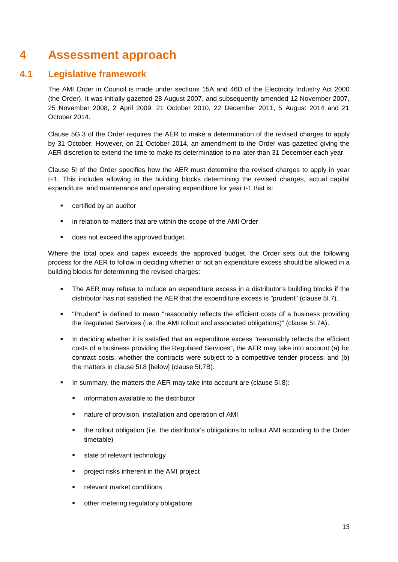## <span id="page-12-0"></span>**4 Assessment approach**

## **4.1 Legislative framework**

<span id="page-12-1"></span>The AMI Order in Council is made under sections 15A and 46D of the Electricity Industry Act 2000 (the Order). It was initially gazetted 28 August 2007, and subsequently amended 12 November 2007, 25 November 2008, 2 April 2009, 21 October 2010, 22 December 2011, 5 August 2014 and 21 October 2014.

Clause 5G.3 of the Order requires the AER to make a determination of the revised charges to apply by 31 October. However, on 21 October 2014, an amendment to the Order was gazetted giving the AER discretion to extend the time to make its determination to no later than 31 December each year.

Clause 5I of the Order specifies how the AER must determine the revised charges to apply in year t+1. This includes allowing in the building blocks determining the revised charges, actual capital expenditure and maintenance and operating expenditure for year t-1 that is:

- certified by an auditor
- **EXTERN** in relation to matters that are within the scope of the AMI Order
- **does not exceed the approved budget.**

Where the total opex and capex exceeds the approved budget, the Order sets out the following process for the AER to follow in deciding whether or not an expenditure excess should be allowed in a building blocks for determining the revised charges:

- The AER may refuse to include an expenditure excess in a distributor's building blocks if the distributor has not satisfied the AER that the expenditure excess is "prudent" (clause 5I.7).
- "Prudent" is defined to mean "reasonably reflects the efficient costs of a business providing the Regulated Services (i.e. the AMI rollout and associated obligations)" (clause 5I.7A).
- **In deciding whether it is satisfied that an expenditure excess "reasonably reflects the efficient** costs of a business providing the Regulated Services", the AER may take into account (a) for contract costs, whether the contracts were subject to a competitive tender process, and (b) the matters in clause 5I.8 [below] (clause 5I.7B).
- In summary, the matters the AER may take into account are (clause 5I.8):
	- information available to the distributor
	- nature of provision, installation and operation of AMI
	- the rollout obligation (i.e. the distributor's obligations to rollout AMI according to the Order timetable)
	- state of relevant technology
	- project risks inherent in the AMI project
	- relevant market conditions
	- other metering regulatory obligations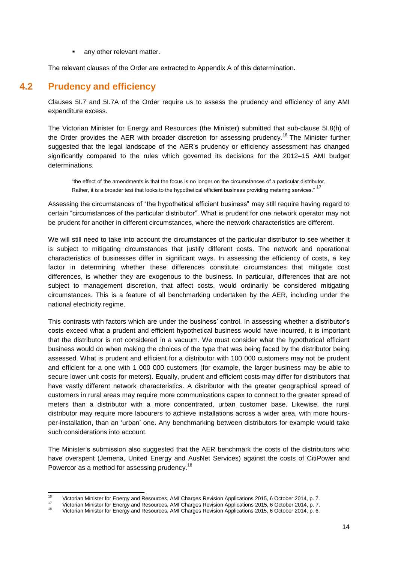any other relevant matter.

The relevant clauses of the Order are extracted to Appendix A of this determination.

## **4.2 Prudency and efficiency**

<span id="page-13-0"></span>Clauses 5I.7 and 5I.7A of the Order require us to assess the prudency and efficiency of any AMI expenditure excess.

The Victorian Minister for Energy and Resources (the Minister) submitted that sub-clause 5I.8(h) of the Order provides the AER with broader discretion for assessing prudency.<sup>16</sup> The Minister further suggested that the legal landscape of the AER's prudency or efficiency assessment has changed significantly compared to the rules which governed its decisions for the 2012–15 AMI budget determinations.

"the effect of the amendments is that the focus is no longer on the circumstances of a particular distributor. Rather, it is a broader test that looks to the hypothetical efficient business providing metering services." <sup>17</sup>

Assessing the circumstances of "the hypothetical efficient business" may still require having regard to certain "circumstances of the particular distributor". What is prudent for one network operator may not be prudent for another in different circumstances, where the network characteristics are different.

We will still need to take into account the circumstances of the particular distributor to see whether it is subject to mitigating circumstances that justify different costs. The network and operational characteristics of businesses differ in significant ways. In assessing the efficiency of costs, a key factor in determining whether these differences constitute circumstances that mitigate cost differences, is whether they are exogenous to the business. In particular, differences that are not subject to management discretion, that affect costs, would ordinarily be considered mitigating circumstances. This is a feature of all benchmarking undertaken by the AER, including under the national electricity regime.

This contrasts with factors which are under the business' control. In assessing whether a distributor's costs exceed what a prudent and efficient hypothetical business would have incurred, it is important that the distributor is not considered in a vacuum. We must consider what the hypothetical efficient business would do when making the choices of the type that was being faced by the distributor being assessed. What is prudent and efficient for a distributor with 100 000 customers may not be prudent and efficient for a one with 1 000 000 customers (for example, the larger business may be able to secure lower unit costs for meters). Equally, prudent and efficient costs may differ for distributors that have vastly different network characteristics. A distributor with the greater geographical spread of customers in rural areas may require more communications capex to connect to the greater spread of meters than a distributor with a more concentrated, urban customer base. Likewise, the rural distributor may require more labourers to achieve installations across a wider area, with more hoursper-installation, than an 'urban' one. Any benchmarking between distributors for example would take such considerations into account.

The Minister's submission also suggested that the AER benchmark the costs of the distributors who have overspent (Jemena, United Energy and AusNet Services) against the costs of CitiPower and Powercor as a method for assessing prudency.<sup>18</sup>

 $16$ <sup>16</sup> Victorian Minister for Energy and Resources, AMI Charges Revision Applications 2015, 6 October 2014, p. 7.

<sup>&</sup>lt;sup>17</sup> Victorian Minister for Energy and Resources, AMI Charges Revision Applications 2015, 6 October 2014, p. 7.

<sup>18</sup> Victorian Minister for Energy and Resources, AMI Charges Revision Applications 2015, 6 October 2014, p. 6.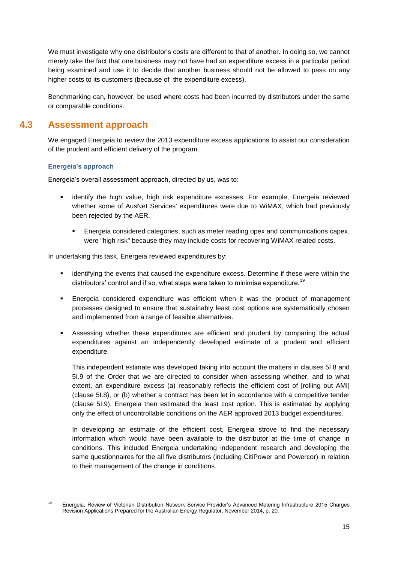We must investigate why one distributor's costs are different to that of another. In doing so, we cannot merely take the fact that one business may not have had an expenditure excess in a particular period being examined and use it to decide that another business should not be allowed to pass on any higher costs to its customers (because of the expenditure excess).

Benchmarking can, however, be used where costs had been incurred by distributors under the same or comparable conditions.

## **4.3 Assessment approach**

<span id="page-14-0"></span>We engaged Energeia to review the 2013 expenditure excess applications to assist our consideration of the prudent and efficient delivery of the program.

## **Energeia's approach**

Energeia's overall assessment approach, directed by us, was to:

- identify the high value, high risk expenditure excesses. For example, Energeia reviewed whether some of AusNet Services' expenditures were due to WiMAX, which had previously been rejected by the AER.
	- Energeia considered categories, such as meter reading opex and communications capex, were "high risk" because they may include costs for recovering WiMAX related costs.

In undertaking this task, Energeia reviewed expenditures by:

- **EXEDENT** identifying the events that caused the expenditure excess. Determine if these were within the distributors' control and if so, what steps were taken to minimise expenditure.<sup>19</sup>
- Energeia considered expenditure was efficient when it was the product of management processes designed to ensure that sustainably least cost options are systematically chosen and implemented from a range of feasible alternatives.
- Assessing whether these expenditures are efficient and prudent by comparing the actual expenditures against an independently developed estimate of a prudent and efficient expenditure.

This independent estimate was developed taking into account the matters in clauses 5I.8 and 5I.9 of the Order that we are directed to consider when assessing whether, and to what extent, an expenditure excess (a) reasonably reflects the efficient cost of [rolling out AMI] (clause 5I.8), or (b) whether a contract has been let in accordance with a competitive tender (clause 5I.9). Energeia then estimated the least cost option. This is estimated by applying only the effect of uncontrollable conditions on the AER approved 2013 budget expenditures.

In developing an estimate of the efficient cost, Energeia strove to find the necessary information which would have been available to the distributor at the time of change in conditions. This included Energeia undertaking independent research and developing the same questionnaires for the all five distributors (including CitiPower and Powercor) in relation to their management of the change in conditions.

 $\frac{1}{19}$ <sup>19</sup> Energeia, Review of Victorian Distribution Network Service Provider's Advanced Metering Infrastructure 2015 Charges Revision Applications Prepared for the Australian Energy Regulator, November 2014, p. 20.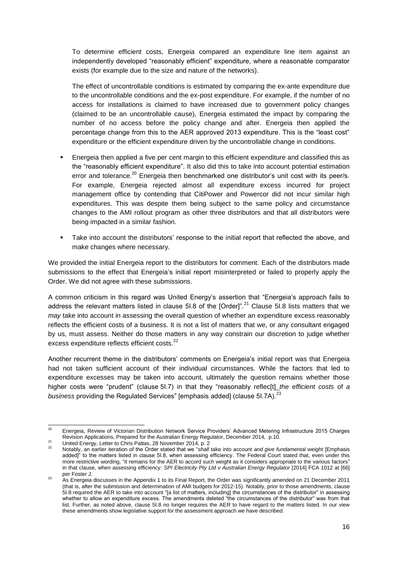To determine efficient costs, Energeia compared an expenditure line item against an independently developed "reasonably efficient" expenditure, where a reasonable comparator exists (for example due to the size and nature of the networks).

The effect of uncontrollable conditions is estimated by comparing the ex-ante expenditure due to the uncontrollable conditions and the ex-post expenditure. For example, if the number of no access for installations is claimed to have increased due to government policy changes (claimed to be an uncontrollable cause), Energeia estimated the impact by comparing the number of no access before the policy change and after. Energeia then applied the percentage change from this to the AER approved 2013 expenditure. This is the "least cost" expenditure or the efficient expenditure driven by the uncontrollable change in conditions.

- Energeia then applied a five per cent margin to this efficient expenditure and classified this as the "reasonably efficient expenditure". It also did this to take into account potential estimation error and tolerance.<sup>20</sup> Energeia then benchmarked one distributor's unit cost with its peer/s. For example, Energeia rejected almost all expenditure excess incurred for project management office by contending that CitiPower and Powercor did not incur similar high expenditures. This was despite them being subject to the same policy and circumstance changes to the AMI rollout program as other three distributors and that all distributors were being impacted in a similar fashion.
- Take into account the distributors' response to the initial report that reflected the above, and make changes where necessary.

We provided the initial Energeia report to the distributors for comment. Each of the distributors made submissions to the effect that Energeia's initial report misinterpreted or failed to properly apply the Order. We did not agree with these submissions.

A common criticism in this regard was United Energy's assertion that "Energeia's approach fails to address the relevant matters listed in clause 5I.8 of the  $[Order]$ <sup>".21</sup> Clause 5I.8 lists matters that we *may* take into account in assessing the overall question of whether an expenditure excess reasonably reflects the efficient costs of a business. It is not a list of matters that we, or any consultant engaged by us, must assess. Neither do those matters in any way constrain our discretion to judge whether excess expenditure reflects efficient costs.<sup>22</sup>

Another recurrent theme in the distributors' comments on Energeia's initial report was that Energeia had not taken sufficient account of their individual circumstances. While the factors that led to expenditure excesses may be taken into account, ultimately the question remains whether those higher costs were "prudent" (clause 5l.7) in that they "reasonably reflec<sup>[t]</sup> the efficient costs of *a business* providing the Regulated Services" [emphasis added] (clause 51.7A).<sup>23</sup>

 $20$ <sup>20</sup> Energeia, Review of Victorian Distribution Network Service Providers' Advanced Metering Infrastructure 2015 Charges Revision Applications, Prepared for the Australian Energy Regulator, December 2014, p.10.

<sup>22&</sup>lt;br>
22 United Energy, Letter to Chris Pattas, 28 November 2014, p. 2<br>
22 November 2014, p. 2

<sup>22</sup> Notably, an earlier iteration of the Order stated that we "*shall* take into account *and give fundamental weight* [Emphasis added]" to the matters listed in clause 5I.8, when assessing efficiency. The Federal Court stated that, even under this more restrictive wording, "it remains for the AER to accord such weight as it considers appropriate to the various factors" in that clause, when assessing efficiency: *SPI Electricity Pty Ltd v Australian Energy Regulator* [2014] FCA 1012 at [66] per Foster J.

<sup>&</sup>lt;sup>23</sup> As Energeia discusses in the Appendix 1 to its Final Report, the Order was significantly amended on 21 December 2011 (that is, after the submission and determination of AMI budgets for 2012-15). Notably, prior to those amendments, clause 5I.8 required the AER to take into account "[a list of matters, including] the circumstances of the distributor" in assessing whether to allow an expenditure excess. The amendments deleted "the circumstances of the distributor" was from that list. Further, as noted above, clause 5I.8 no longer requires the AER to have regard to the matters listed. In our view these amendments show legislative support for the assessment approach we have described.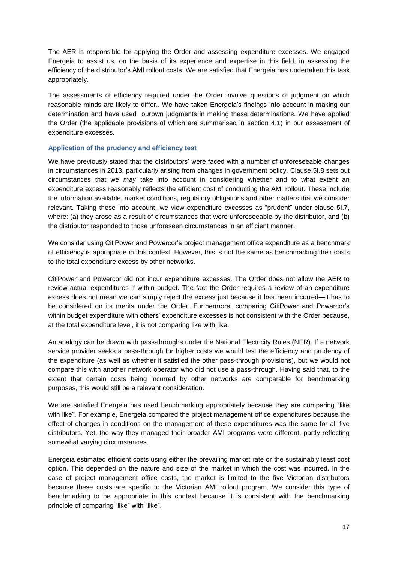The AER is responsible for applying the Order and assessing expenditure excesses. We engaged Energeia to assist us, on the basis of its experience and expertise in this field, in assessing the efficiency of the distributor's AMI rollout costs. We are satisfied that Energeia has undertaken this task appropriately.

The assessments of efficiency required under the Order involve questions of judgment on which reasonable minds are likely to differ.. We have taken Energeia's findings into account in making our determination and have used ourown judgments in making these determinations. We have applied the Order (the applicable provisions of which are summarised in section [4.1\)](#page-12-1) in our assessment of expenditure excesses.

### **Application of the prudency and efficiency test**

We have previously stated that the distributors' were faced with a number of unforeseeable changes in circumstances in 2013, particularly arising from changes in government policy. Clause 5I.8 sets out circumstances that we *may* take into account in considering whether and to what extent an expenditure excess reasonably reflects the efficient cost of conducting the AMI rollout. These include the information available, market conditions, regulatory obligations and other matters that we consider relevant. Taking these into account, we view expenditure excesses as "prudent" under clause 5I.7, where: (a) they arose as a result of circumstances that were unforeseeable by the distributor, and (b) the distributor responded to those unforeseen circumstances in an efficient manner.

We consider using CitiPower and Powercor's project management office expenditure as a benchmark of efficiency is appropriate in this context. However, this is not the same as benchmarking their costs to the total expenditure excess by other networks.

CitiPower and Powercor did not incur expenditure excesses. The Order does not allow the AER to review actual expenditures if within budget. The fact the Order requires a review of an expenditure excess does not mean we can simply reject the excess just because it has been incurred—it has to be considered on its merits under the Order. Furthermore, comparing CitiPower and Powercor's within budget expenditure with others' expenditure excesses is not consistent with the Order because, at the total expenditure level, it is not comparing like with like.

An analogy can be drawn with pass-throughs under the National Electricity Rules (NER). If a network service provider seeks a pass-through for higher costs we would test the efficiency and prudency of the expenditure (as well as whether it satisfied the other pass-through provisions), but we would not compare this with another network operator who did not use a pass-through. Having said that, to the extent that certain costs being incurred by other networks are comparable for benchmarking purposes, this would still be a relevant consideration.

We are satisfied Energeia has used benchmarking appropriately because they are comparing "like with like". For example, Energeia compared the project management office expenditures because the effect of changes in conditions on the management of these expenditures was the same for all five distributors. Yet, the way they managed their broader AMI programs were different, partly reflecting somewhat varying circumstances.

Energeia estimated efficient costs using either the prevailing market rate or the sustainably least cost option. This depended on the nature and size of the market in which the cost was incurred. In the case of project management office costs, the market is limited to the five Victorian distributors because these costs are specific to the Victorian AMI rollout program. We consider this type of benchmarking to be appropriate in this context because it is consistent with the benchmarking principle of comparing "like" with "like".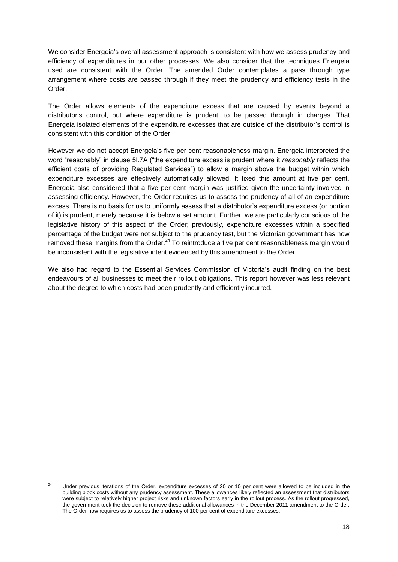We consider Energeia's overall assessment approach is consistent with how we assess prudency and efficiency of expenditures in our other processes. We also consider that the techniques Energeia used are consistent with the Order. The amended Order contemplates a pass through type arrangement where costs are passed through if they meet the prudency and efficiency tests in the Order.

The Order allows elements of the expenditure excess that are caused by events beyond a distributor's control, but where expenditure is prudent, to be passed through in charges. That Energeia isolated elements of the expenditure excesses that are outside of the distributor's control is consistent with this condition of the Order.

However we do not accept Energeia's five per cent reasonableness margin. Energeia interpreted the word "reasonably" in clause 5I.7A ("the expenditure excess is prudent where it *reasonably* reflects the efficient costs of providing Regulated Services") to allow a margin above the budget within which expenditure excesses are effectively automatically allowed. It fixed this amount at five per cent. Energeia also considered that a five per cent margin was justified given the uncertainty involved in assessing efficiency. However, the Order requires us to assess the prudency of all of an expenditure excess. There is no basis for us to uniformly assess that a distributor's expenditure excess (or portion of it) is prudent, merely because it is below a set amount. Further, we are particularly conscious of the legislative history of this aspect of the Order; previously, expenditure excesses within a specified percentage of the budget were not subject to the prudency test, but the Victorian government has now removed these margins from the Order. $^{24}$  To reintroduce a five per cent reasonableness margin would be inconsistent with the legislative intent evidenced by this amendment to the Order.

We also had regard to the Essential Services Commission of Victoria's audit finding on the best endeavours of all businesses to meet their rollout obligations. This report however was less relevant about the degree to which costs had been prudently and efficiently incurred.

 $\overline{24}$ Under previous iterations of the Order, expenditure excesses of 20 or 10 per cent were allowed to be included in the building block costs without any prudency assessment. These allowances likely reflected an assessment that distributors were subject to relatively higher project risks and unknown factors early in the rollout process. As the rollout progressed, the government took the decision to remove these additional allowances in the December 2011 amendment to the Order. The Order now requires us to assess the prudency of 100 per cent of expenditure excesses.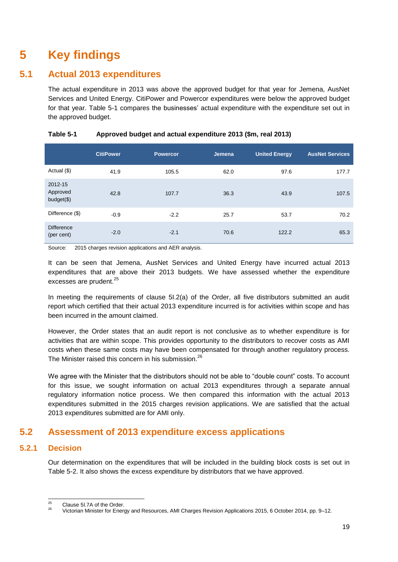## <span id="page-18-0"></span>**5 Key findings**

## **5.1 Actual 2013 expenditures**

<span id="page-18-1"></span>The actual expenditure in 2013 was above the approved budget for that year for Jemena, AusNet Services and United Energy. CitiPower and Powercor expenditures were below the approved budget for that year. [Table 5-1](#page-18-3) compares the businesses' actual expenditure with the expenditure set out in the approved budget.

|                                    | <b>CitiPower</b> | <b>Powercor</b> | Jemena | <b>United Energy</b> | <b>AusNet Services</b> |
|------------------------------------|------------------|-----------------|--------|----------------------|------------------------|
| Actual (\$)                        | 41.9             | 105.5           | 62.0   | 97.6                 | 177.7                  |
| 2012-15<br>Approved<br>$budget($)$ | 42.8             | 107.7           | 36.3   | 43.9                 | 107.5                  |
| Difference (\$)                    | $-0.9$           | $-2.2$          | 25.7   | 53.7                 | 70.2                   |
| <b>Difference</b><br>(per cent)    | $-2.0$           | $-2.1$          | 70.6   | 122.2                | 65.3                   |

## <span id="page-18-3"></span>**Table 5-1 Approved budget and actual expenditure 2013 (\$m, real 2013)**

Source: 2015 charges revision applications and AER analysis.

It can be seen that Jemena, AusNet Services and United Energy have incurred actual 2013 expenditures that are above their 2013 budgets. We have assessed whether the expenditure excesses are prudent.<sup>25</sup>

In meeting the requirements of clause 5I.2(a) of the Order, all five distributors submitted an audit report which certified that their actual 2013 expenditure incurred is for activities within scope and has been incurred in the amount claimed.

However, the Order states that an audit report is not conclusive as to whether expenditure is for activities that are within scope. This provides opportunity to the distributors to recover costs as AMI costs when these same costs may have been compensated for through another regulatory process. The Minister raised this concern in his submission.<sup>26</sup>

We agree with the Minister that the distributors should not be able to "double count" costs. To account for this issue, we sought information on actual 2013 expenditures through a separate annual regulatory information notice process. We then compared this information with the actual 2013 expenditures submitted in the 2015 charges revision applications. We are satisfied that the actual 2013 expenditures submitted are for AMI only.

## <span id="page-18-2"></span>**5.2 Assessment of 2013 expenditure excess applications**

## **5.2.1 Decision**

Our determination on the expenditures that will be included in the building block costs is set out in [Table 5-2.](#page-19-0) It also shows the excess expenditure by distributors that we have approved.

 $\overline{25}$  $^{25}$  Clause 5I.7A of the Order.

<sup>26</sup> Victorian Minister for Energy and Resources, AMI Charges Revision Applications 2015, 6 October 2014, pp. 9–12.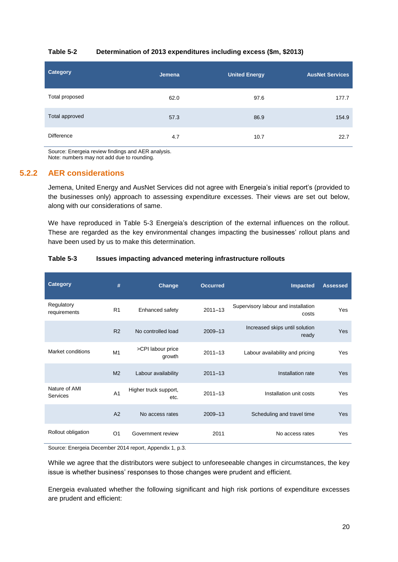### <span id="page-19-0"></span>**Table 5-2 Determination of 2013 expenditures including excess (\$m, \$2013)**

| <b>Category</b>   | <b>Jemena</b> | <b>United Energy</b> | <b>AusNet Services</b> |
|-------------------|---------------|----------------------|------------------------|
| Total proposed    | 62.0          | 97.6                 | 177.7                  |
| Total approved    | 57.3          | 86.9                 | 154.9                  |
| <b>Difference</b> | 4.7           | 10.7                 | 22.7                   |

Source: Energeia review findings and AER analysis. Note: numbers may not add due to rounding.

## **5.2.2 AER considerations**

Jemena, United Energy and AusNet Services did not agree with Energeia's initial report's (provided to the businesses only) approach to assessing expenditure excesses. Their views are set out below, along with our considerations of same.

We have reproduced in [Table 5-3](#page-19-1) Energeia's description of the external influences on the rollout. These are regarded as the key environmental changes impacting the businesses' rollout plans and have been used by us to make this determination.

### <span id="page-19-1"></span>**Table 5-3 Issues impacting advanced metering infrastructure rollouts**

| Category                   | #              | Change                        | <b>Occurred</b> | Impacted                                     | <b>Assessed</b> |
|----------------------------|----------------|-------------------------------|-----------------|----------------------------------------------|-----------------|
| Regulatory<br>requirements | R <sub>1</sub> | Enhanced safety               | $2011 - 13$     | Supervisory labour and installation<br>costs | Yes             |
|                            | R <sub>2</sub> | No controlled load            | 2009-13         | Increased skips until solution<br>ready      | Yes             |
| <b>Market conditions</b>   | M1             | >CPI labour price<br>growth   | $2011 - 13$     | Labour availability and pricing              | Yes             |
|                            | M <sub>2</sub> | Labour availability           | $2011 - 13$     | Installation rate                            | Yes             |
| Nature of AMI<br>Services  | A <sub>1</sub> | Higher truck support,<br>etc. | $2011 - 13$     | Installation unit costs                      | Yes             |
|                            | A2             | No access rates               | 2009-13         | Scheduling and travel time                   | Yes             |
| Rollout obligation         | O <sub>1</sub> | Government review             | 2011            | No access rates                              | Yes             |

Source: Energeia December 2014 report, Appendix 1, p.3.

While we agree that the distributors were subject to unforeseeable changes in circumstances, the key issue is whether business' responses to those changes were prudent and efficient.

Energeia evaluated whether the following significant and high risk portions of expenditure excesses are prudent and efficient: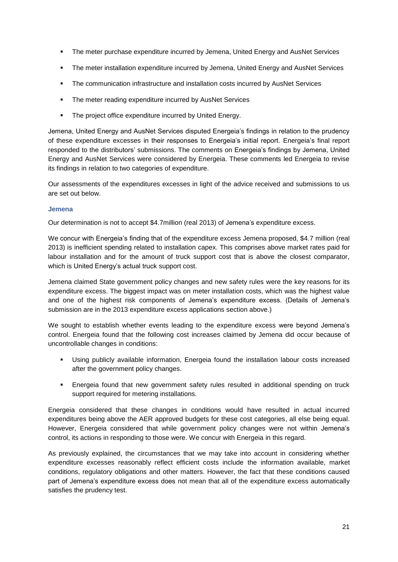- The meter purchase expenditure incurred by Jemena, United Energy and AusNet Services
- The meter installation expenditure incurred by Jemena, United Energy and AusNet Services
- The communication infrastructure and installation costs incurred by AusNet Services
- The meter reading expenditure incurred by AusNet Services
- The project office expenditure incurred by United Energy.

Jemena, United Energy and AusNet Services disputed Energeia's findings in relation to the prudency of these expenditure excesses in their responses to Energeia's initial report. Energeia's final report responded to the distributors' submissions. The comments on Energeia's findings by Jemena, United Energy and AusNet Services were considered by Energeia. These comments led Energeia to revise its findings in relation to two categories of expenditure.

Our assessments of the expenditures excesses in light of the advice received and submissions to us are set out below.

### **Jemena**

Our determination is not to accept \$4.7million (real 2013) of Jemena's expenditure excess.

We concur with Energeia's finding that of the expenditure excess Jemena proposed, \$4.7 million (real 2013) is inefficient spending related to installation capex. This comprises above market rates paid for labour installation and for the amount of truck support cost that is above the closest comparator, which is United Energy's actual truck support cost.

Jemena claimed State government policy changes and new safety rules were the key reasons for its expenditure excess. The biggest impact was on meter installation costs, which was the highest value and one of the highest risk components of Jemena's expenditure excess. (Details of Jemena's submission are in the [2013 expenditure excess applications](#page-9-1) section above.)

We sought to establish whether events leading to the expenditure excess were beyond Jemena's control. Energeia found that the following cost increases claimed by Jemena did occur because of uncontrollable changes in conditions:

- Using publicly available information, Energeia found the installation labour costs increased after the government policy changes.
- Energeia found that new government safety rules resulted in additional spending on truck support required for metering installations.

Energeia considered that these changes in conditions would have resulted in actual incurred expenditures being above the AER approved budgets for these cost categories, all else being equal. However, Energeia considered that while government policy changes were not within Jemena's control, its actions in responding to those were. We concur with Energeia in this regard.

As previously explained, the circumstances that we may take into account in considering whether expenditure excesses reasonably reflect efficient costs include the information available, market conditions, regulatory obligations and other matters. However, the fact that these conditions caused part of Jemena's expenditure excess does not mean that all of the expenditure excess automatically satisfies the prudency test.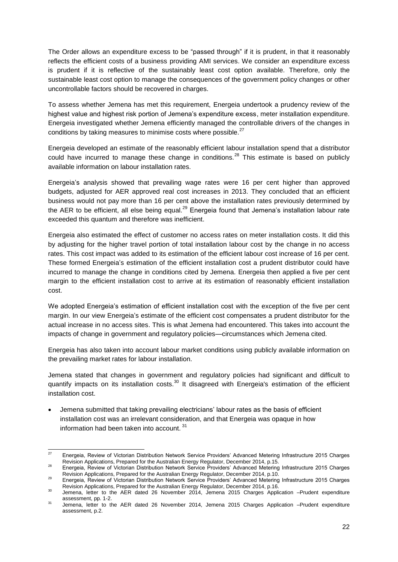The Order allows an expenditure excess to be "passed through" if it is prudent, in that it reasonably reflects the efficient costs of a business providing AMI services. We consider an expenditure excess is prudent if it is reflective of the sustainably least cost option available. Therefore, only the sustainable least cost option to manage the consequences of the government policy changes or other uncontrollable factors should be recovered in charges.

To assess whether Jemena has met this requirement, Energeia undertook a prudency review of the highest value and highest risk portion of Jemena's expenditure excess, meter installation expenditure. Energeia investigated whether Jemena efficiently managed the controllable drivers of the changes in conditions by taking measures to minimise costs where possible.<sup>27</sup>

Energeia developed an estimate of the reasonably efficient labour installation spend that a distributor could have incurred to manage these change in conditions.<sup>28</sup> This estimate is based on publicly available information on labour installation rates.

Energeia's analysis showed that prevailing wage rates were 16 per cent higher than approved budgets, adjusted for AER approved real cost increases in 2013. They concluded that an efficient business would not pay more than 16 per cent above the installation rates previously determined by the AER to be efficient, all else being equal.<sup>29</sup> Energeia found that Jemena's installation labour rate exceeded this quantum and therefore was inefficient.

Energeia also estimated the effect of customer no access rates on meter installation costs. It did this by adjusting for the higher travel portion of total installation labour cost by the change in no access rates. This cost impact was added to its estimation of the efficient labour cost increase of 16 per cent. These formed Energeia's estimation of the efficient installation cost a prudent distributor could have incurred to manage the change in conditions cited by Jemena. Energeia then applied a five per cent margin to the efficient installation cost to arrive at its estimation of reasonably efficient installation cost.

We adopted Energeia's estimation of efficient installation cost with the exception of the five per cent margin. In our view Energeia's estimate of the efficient cost compensates a prudent distributor for the actual increase in no access sites. This is what Jemena had encountered. This takes into account the impacts of change in government and regulatory policies—circumstances which Jemena cited.

Energeia has also taken into account labour market conditions using publicly available information on the prevailing market rates for labour installation.

Jemena stated that changes in government and regulatory policies had significant and difficult to quantify impacts on its installation costs.<sup>30</sup> It disagreed with Energeia's estimation of the efficient installation cost.

 Jemena submitted that taking prevailing electricians' labour rates as the basis of efficient installation cost was an irrelevant consideration, and that Energeia was opaque in how information had been taken into account. <sup>31</sup>

 $27$ <sup>27</sup> Energeia, Review of Victorian Distribution Network Service Providers' Advanced Metering Infrastructure 2015 Charges Revision Applications, Prepared for the Australian Energy Regulator, December 2014, p.15.

<sup>28</sup> Energeia, Review of Victorian Distribution Network Service Providers' Advanced Metering Infrastructure 2015 Charges Revision Applications, Prepared for the Australian Energy Regulator, December 2014, p.10.

<sup>29</sup> Energeia, Review of Victorian Distribution Network Service Providers' Advanced Metering Infrastructure 2015 Charges Revision Applications, Prepared for the Australian Energy Regulator, December 2014, p.16.

<sup>30</sup> Jemena, letter to the AER dated 26 November 2014, Jemena 2015 Charges Application –Prudent expenditure assessment, pp. 1-2.

<sup>31</sup> Jemena, letter to the AER dated 26 November 2014, Jemena 2015 Charges Application –Prudent expenditure assessment, p.2.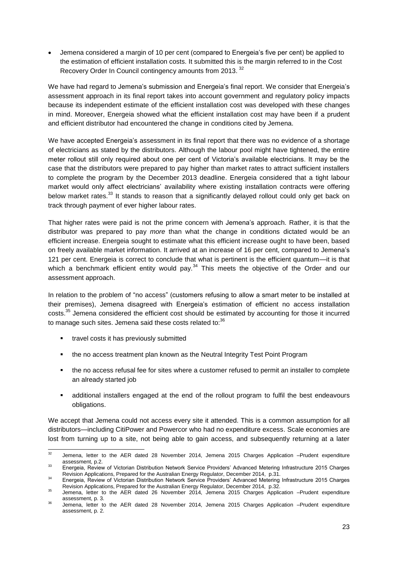Jemena considered a margin of 10 per cent (compared to Energeia's five per cent) be applied to the estimation of efficient installation costs. It submitted this is the margin referred to in the Cost Recovery Order In Council contingency amounts from 2013.<sup>32</sup>

We have had regard to Jemena's submission and Energeia's final report. We consider that Energeia's assessment approach in its final report takes into account government and regulatory policy impacts because its independent estimate of the efficient installation cost was developed with these changes in mind. Moreover, Energeia showed what the efficient installation cost may have been if a prudent and efficient distributor had encountered the change in conditions cited by Jemena.

We have accepted Energeia's assessment in its final report that there was no evidence of a shortage of electricians as stated by the distributors. Although the labour pool might have tightened, the entire meter rollout still only required about one per cent of Victoria's available electricians. It may be the case that the distributors were prepared to pay higher than market rates to attract sufficient installers to complete the program by the December 2013 deadline. Energeia considered that a tight labour market would only affect electricians' availability where existing installation contracts were offering below market rates.<sup>33</sup> It stands to reason that a significantly delayed rollout could only get back on track through payment of ever higher labour rates.

That higher rates were paid is not the prime concern with Jemena's approach. Rather, it is that the distributor was prepared to pay *more* than what the change in conditions dictated would be an efficient increase. Energeia sought to estimate what this efficient increase ought to have been, based on freely available market information. It arrived at an increase of 16 per cent, compared to Jemena's 121 per cent. Energeia is correct to conclude that what is pertinent is the efficient quantum—it is that which a benchmark efficient entity would pay. $34$  This meets the objective of the Order and our assessment approach.

In relation to the problem of "no access" (customers refusing to allow a smart meter to be installed at their premises), Jemena disagreed with Energeia's estimation of efficient no access installation costs.<sup>35</sup> Jemena considered the efficient cost should be estimated by accounting for those it incurred to manage such sites. Jemena said these costs related to:<sup>36</sup>

- **travel costs it has previously submitted**
- the no access treatment plan known as the Neutral Integrity Test Point Program
- the no access refusal fee for sites where a customer refused to permit an installer to complete an already started job
- additional installers engaged at the end of the rollout program to fulfil the best endeavours obligations.

We accept that Jemena could not access every site it attended. This is a common assumption for all distributors—including CitiPower and Powercor who had no expenditure excess. Scale economies are lost from turning up to a site, not being able to gain access, and subsequently returning at a later

 $32$ Jemena, letter to the AER dated 28 November 2014, Jemena 2015 Charges Application -Prudent expenditure assessment, p.2.

<sup>&</sup>lt;sup>33</sup> Energeia, Review of Victorian Distribution Network Service Providers' Advanced Metering Infrastructure 2015 Charges Revision Applications, Prepared for the Australian Energy Regulator, December 2014, p.31.

<sup>34</sup> Energeia, Review of Victorian Distribution Network Service Providers' Advanced Metering Infrastructure 2015 Charges Revision Applications, Prepared for the Australian Energy Regulator, December 2014, p.32.

<sup>35</sup> Jemena, letter to the AER dated 26 November 2014, Jemena 2015 Charges Application –Prudent expenditure assessment, p. 3.

<sup>36</sup> Jemena, letter to the AER dated 28 November 2014, Jemena 2015 Charges Application –Prudent expenditure assessment, p. 2.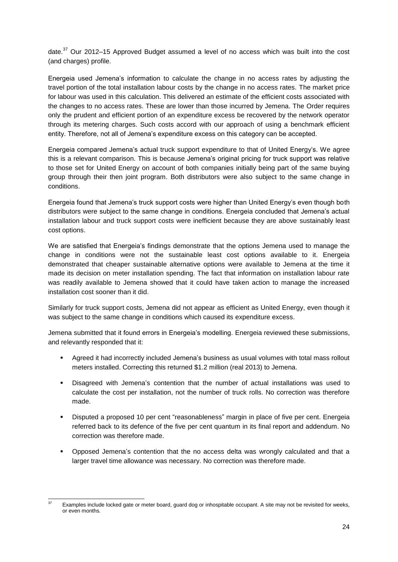date.<sup>37</sup> Our 2012–15 Approved Budget assumed a level of no access which was built into the cost (and charges) profile.

Energeia used Jemena's information to calculate the change in no access rates by adjusting the travel portion of the total installation labour costs by the change in no access rates. The market price for labour was used in this calculation. This delivered an estimate of the efficient costs associated with the changes to no access rates. These are lower than those incurred by Jemena. The Order requires only the prudent and efficient portion of an expenditure excess be recovered by the network operator through its metering charges. Such costs accord with our approach of using a benchmark efficient entity. Therefore, not all of Jemena's expenditure excess on this category can be accepted.

Energeia compared Jemena's actual truck support expenditure to that of United Energy's. We agree this is a relevant comparison. This is because Jemena's original pricing for truck support was relative to those set for United Energy on account of both companies initially being part of the same buying group through their then joint program. Both distributors were also subject to the same change in conditions.

Energeia found that Jemena's truck support costs were higher than United Energy's even though both distributors were subject to the same change in conditions. Energeia concluded that Jemena's actual installation labour and truck support costs were inefficient because they are above sustainably least cost options.

We are satisfied that Energeia's findings demonstrate that the options Jemena used to manage the change in conditions were not the sustainable least cost options available to it. Energeia demonstrated that cheaper sustainable alternative options were available to Jemena at the time it made its decision on meter installation spending. The fact that information on installation labour rate was readily available to Jemena showed that it could have taken action to manage the increased installation cost sooner than it did.

Similarly for truck support costs, Jemena did not appear as efficient as United Energy, even though it was subject to the same change in conditions which caused its expenditure excess.

Jemena submitted that it found errors in Energeia's modelling. Energeia reviewed these submissions, and relevantly responded that it:

- Agreed it had incorrectly included Jemena's business as usual volumes with total mass rollout meters installed. Correcting this returned \$1.2 million (real 2013) to Jemena.
- Disagreed with Jemena's contention that the number of actual installations was used to calculate the cost per installation, not the number of truck rolls. No correction was therefore made.
- Disputed a proposed 10 per cent "reasonableness" margin in place of five per cent. Energeia referred back to its defence of the five per cent quantum in its final report and addendum. No correction was therefore made.
- Opposed Jemena's contention that the no access delta was wrongly calculated and that a larger travel time allowance was necessary. No correction was therefore made.

 $\overline{37}$ Examples include locked gate or meter board, guard dog or inhospitable occupant. A site may not be revisited for weeks, or even months.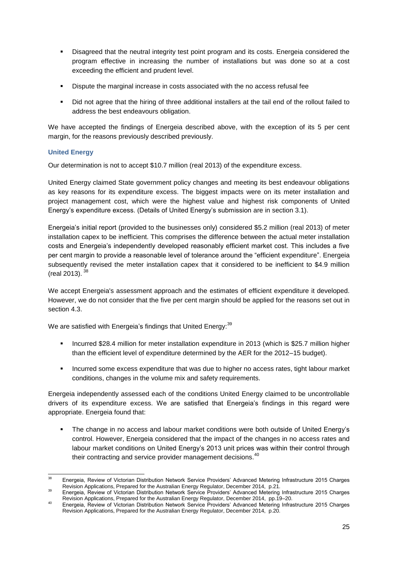- Disagreed that the neutral integrity test point program and its costs. Energeia considered the program effective in increasing the number of installations but was done so at a cost exceeding the efficient and prudent level.
- Dispute the marginal increase in costs associated with the no access refusal fee
- Did not agree that the hiring of three additional installers at the tail end of the rollout failed to address the best endeavours obligation.

We have accepted the findings of Energeia described above, with the exception of its 5 per cent margin, for the reasons previously described previously.

## **United Energy**

Our determination is not to accept \$10.7 million (real 2013) of the expenditure excess.

United Energy claimed State government policy changes and meeting its best endeavour obligations as key reasons for its expenditure excess. The biggest impacts were on its meter installation and project management cost, which were the highest value and highest risk components of United Energy's expenditure excess. (Details of United Energy's submission are in section 3.1).

Energeia's initial report (provided to the businesses only) considered \$5.2 million (real 2013) of meter installation capex to be inefficient. This comprises the difference between the actual meter installation costs and Energeia's independently developed reasonably efficient market cost. This includes a five per cent margin to provide a reasonable level of tolerance around the "efficient expenditure". Energeia subsequently revised the meter installation capex that it considered to be inefficient to \$4.9 million (real 2013). <sup>38</sup>

We accept Energeia's assessment approach and the estimates of efficient expenditure it developed. However, we do not consider that the five per cent margin should be applied for the reasons set out in section [4.3.](#page-14-0)

We are satisfied with Energeia's findings that United Energy:<sup>39</sup>

- Incurred \$28.4 million for meter installation expenditure in 2013 (which is \$25.7 million higher than the efficient level of expenditure determined by the AER for the 2012–15 budget).
- **Incurred some excess expenditure that was due to higher no access rates, tight labour market** conditions, changes in the volume mix and safety requirements.

Energeia independently assessed each of the conditions United Energy claimed to be uncontrollable drivers of its expenditure excess. We are satisfied that Energeia's findings in this regard were appropriate. Energeia found that:

 The change in no access and labour market conditions were both outside of United Energy's control. However, Energeia considered that the impact of the changes in no access rates and labour market conditions on United Energy's 2013 unit prices was within their control through their contracting and service provider management decisions.<sup>40</sup>

 $38$ <sup>38</sup> Energeia, Review of Victorian Distribution Network Service Providers' Advanced Metering Infrastructure 2015 Charges Revision Applications, Prepared for the Australian Energy Regulator, December 2014, p.21.

<sup>39</sup> Energeia, Review of Victorian Distribution Network Service Providers' Advanced Metering Infrastructure 2015 Charges Revision Applications, Prepared for the Australian Energy Regulator, December 2014, pp.19–20.

<sup>40</sup> Energeia, Review of Victorian Distribution Network Service Providers' Advanced Metering Infrastructure 2015 Charges Revision Applications, Prepared for the Australian Energy Regulator, December 2014, p.20.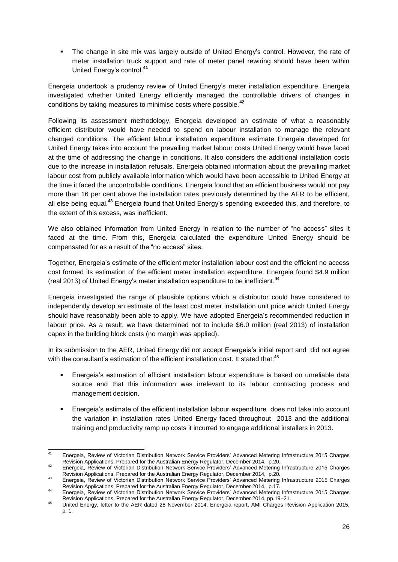The change in site mix was largely outside of United Energy's control. However, the rate of meter installation truck support and rate of meter panel rewiring should have been within United Energy's control.**<sup>41</sup>**

Energeia undertook a prudency review of United Energy's meter installation expenditure. Energeia investigated whether United Energy efficiently managed the controllable drivers of changes in conditions by taking measures to minimise costs where possible.**<sup>42</sup>**

Following its assessment methodology, Energeia developed an estimate of what a reasonably efficient distributor would have needed to spend on labour installation to manage the relevant changed conditions. The efficient labour installation expenditure estimate Energeia developed for United Energy takes into account the prevailing market labour costs United Energy would have faced at the time of addressing the change in conditions. It also considers the additional installation costs due to the increase in installation refusals. Energeia obtained information about the prevailing market labour cost from publicly available information which would have been accessible to United Energy at the time it faced the uncontrollable conditions. Energeia found that an efficient business would not pay more than 16 per cent above the installation rates previously determined by the AER to be efficient, all else being equal.**<sup>43</sup>** Energeia found that United Energy's spending exceeded this, and therefore, to the extent of this excess, was inefficient.

We also obtained information from United Energy in relation to the number of "no access" sites it faced at the time. From this, Energeia calculated the expenditure United Energy should be compensated for as a result of the "no access" sites.

Together, Energeia's estimate of the efficient meter installation labour cost and the efficient no access cost formed its estimation of the efficient meter installation expenditure. Energeia found \$4.9 million (real 2013) of United Energy's meter installation expenditure to be inefficient.**<sup>44</sup>**

Energeia investigated the range of plausible options which a distributor could have considered to independently develop an estimate of the least cost meter installation unit price which United Energy should have reasonably been able to apply. We have adopted Energeia's recommended reduction in labour price. As a result, we have determined not to include \$6.0 million (real 2013) of installation capex in the building block costs (no margin was applied).

In its submission to the AER, United Energy did not accept Energeia's initial report and did not agree with the consultant's estimation of the efficient installation cost. It stated that: $45$ 

- Energeia's estimation of efficient installation labour expenditure is based on unreliable data source and that this information was irrelevant to its labour contracting process and management decision.
- Energeia's estimate of the efficient installation labour expenditure does not take into account the variation in installation rates United Energy faced throughout 2013 and the additional training and productivity ramp up costs it incurred to engage additional installers in 2013.

 $41$ <sup>41</sup> Energeia, Review of Victorian Distribution Network Service Providers' Advanced Metering Infrastructure 2015 Charges Revision Applications, Prepared for the Australian Energy Regulator, December 2014, p.20.

<sup>42</sup> Energeia, Review of Victorian Distribution Network Service Providers' Advanced Metering Infrastructure 2015 Charges Revision Applications, Prepared for the Australian Energy Regulator, December 2014, p.20.

<sup>43</sup> Energeia, Review of Victorian Distribution Network Service Providers' Advanced Metering Infrastructure 2015 Charges Revision Applications, Prepared for the Australian Energy Regulator, December 2014, p.17.

<sup>44</sup> Energeia, Review of Victorian Distribution Network Service Providers' Advanced Metering Infrastructure 2015 Charges Revision Applications, Prepared for the Australian Energy Regulator, December 2014, pp.19–21.

<sup>45</sup> United Energy, letter to the AER dated 28 November 2014, Energeia report, AMI Charges Revision Application 2015, p. 1.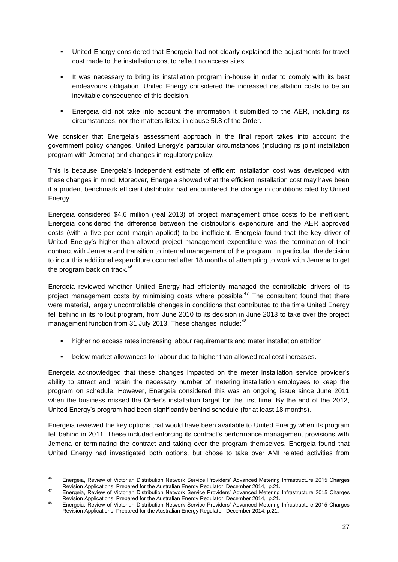- United Energy considered that Energeia had not clearly explained the adjustments for travel cost made to the installation cost to reflect no access sites.
- It was necessary to bring its installation program in-house in order to comply with its best endeavours obligation. United Energy considered the increased installation costs to be an inevitable consequence of this decision.
- Energeia did not take into account the information it submitted to the AER, including its circumstances, nor the matters listed in clause 5I.8 of the Order.

We consider that Energeia's assessment approach in the final report takes into account the government policy changes, United Energy's particular circumstances (including its joint installation program with Jemena) and changes in regulatory policy.

This is because Energeia's independent estimate of efficient installation cost was developed with these changes in mind. Moreover, Energeia showed what the efficient installation cost may have been if a prudent benchmark efficient distributor had encountered the change in conditions cited by United Energy.

Energeia considered \$4.6 million (real 2013) of project management office costs to be inefficient. Energeia considered the difference between the distributor's expenditure and the AER approved costs (with a five per cent margin applied) to be inefficient. Energeia found that the key driver of United Energy's higher than allowed project management expenditure was the termination of their contract with Jemena and transition to internal management of the program. In particular, the decision to incur this additional expenditure occurred after 18 months of attempting to work with Jemena to get the program back on track.<sup>46</sup>

Energeia reviewed whether United Energy had efficiently managed the controllable drivers of its project management costs by minimising costs where possible.<sup>47</sup> The consultant found that there were material, largely uncontrollable changes in conditions that contributed to the time United Energy fell behind in its rollout program, from June 2010 to its decision in June 2013 to take over the project management function from 31 July 2013. These changes include:<sup>48</sup>

- higher no access rates increasing labour requirements and meter installation attrition
- below market allowances for labour due to higher than allowed real cost increases.

Energeia acknowledged that these changes impacted on the meter installation service provider's ability to attract and retain the necessary number of metering installation employees to keep the program on schedule. However, Energeia considered this was an ongoing issue since June 2011 when the business missed the Order's installation target for the first time. By the end of the 2012, United Energy's program had been significantly behind schedule (for at least 18 months).

Energeia reviewed the key options that would have been available to United Energy when its program fell behind in 2011. These included enforcing its contract's performance management provisions with Jemena or terminating the contract and taking over the program themselves. Energeia found that United Energy had investigated both options, but chose to take over AMI related activities from

 $46$ <sup>46</sup> Energeia, Review of Victorian Distribution Network Service Providers' Advanced Metering Infrastructure 2015 Charges Revision Applications, Prepared for the Australian Energy Regulator, December 2014, p.21.

<sup>47</sup> Energeia, Review of Victorian Distribution Network Service Providers' Advanced Metering Infrastructure 2015 Charges Revision Applications, Prepared for the Australian Energy Regulator, December 2014, p.21.

<sup>48</sup> Energeia, Review of Victorian Distribution Network Service Providers' Advanced Metering Infrastructure 2015 Charges Revision Applications, Prepared for the Australian Energy Regulator, December 2014, p.21.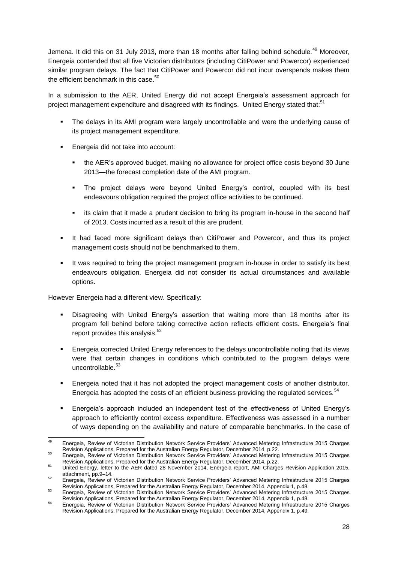Jemena. It did this on 31 July 2013, more than 18 months after falling behind schedule.<sup>49</sup> Moreover, Energeia contended that all five Victorian distributors (including CitiPower and Powercor) experienced similar program delays. The fact that CitiPower and Powercor did not incur overspends makes them the efficient benchmark in this case.<sup>50</sup>

In a submission to the AER, United Energy did not accept Energeia's assessment approach for project management expenditure and disagreed with its findings. United Energy stated that:<sup>51</sup>

- The delays in its AMI program were largely uncontrollable and were the underlying cause of its project management expenditure.
- **Energeia did not take into account:** 
	- the AER's approved budget, making no allowance for project office costs beyond 30 June 2013—the forecast completion date of the AMI program.
	- The project delays were beyond United Energy's control, coupled with its best endeavours obligation required the project office activities to be continued.
	- **EXEC** its claim that it made a prudent decision to bring its program in-house in the second half of 2013. Costs incurred as a result of this are prudent.
- It had faced more significant delays than CitiPower and Powercor, and thus its project management costs should not be benchmarked to them.
- It was required to bring the project management program in-house in order to satisfy its best endeavours obligation. Energeia did not consider its actual circumstances and available options.

However Energeia had a different view. Specifically:

- Disagreeing with United Energy's assertion that waiting more than 18 months after its program fell behind before taking corrective action reflects efficient costs. Energeia's final report provides this analysis.<sup>52</sup>
- Energeia corrected United Energy references to the delays uncontrollable noting that its views were that certain changes in conditions which contributed to the program delays were uncontrollable. 53
- Energeia noted that it has not adopted the project management costs of another distributor. Energeia has adopted the costs of an efficient business providing the regulated services.<sup>54</sup>
- Energeia's approach included an independent test of the effectiveness of United Energy's approach to efficiently control excess expenditure. Effectiveness was assessed in a number of ways depending on the availability and nature of comparable benchmarks. In the case of

<sup>49</sup> <sup>49</sup> Energeia, Review of Victorian Distribution Network Service Providers' Advanced Metering Infrastructure 2015 Charges Revision Applications, Prepared for the Australian Energy Regulator, December 2014, p.22. <sup>50</sup> Energeia, Review of Victorian Distribution Network Service Providers' Advanced Metering Infrastructure 2015 Charges

Revision Applications, Prepared for the Australian Energy Regulator, December 2014, p.22.

<sup>51</sup> United Energy, letter to the AER dated 28 November 2014, Energeia report, AMI Charges Revision Application 2015, attachment, pp.9–14. <sup>52</sup> Energeia, Review of Victorian Distribution Network Service Providers' Advanced Metering Infrastructure 2015 Charges

Revision Applications, Prepared for the Australian Energy Regulator, December 2014, Appendix 1, p.48.

<sup>53</sup> Energeia, Review of Victorian Distribution Network Service Providers' Advanced Metering Infrastructure 2015 Charges Revision Applications, Prepared for the Australian Energy Regulator, December 2014, Appendix 1, p.48.

<sup>54</sup> Energeia, Review of Victorian Distribution Network Service Providers' Advanced Metering Infrastructure 2015 Charges Revision Applications, Prepared for the Australian Energy Regulator, December 2014, Appendix 1, p.49.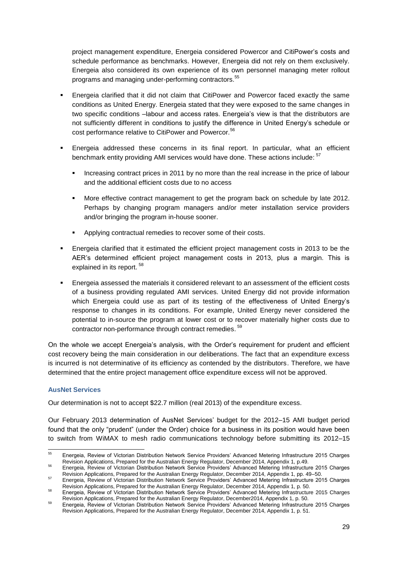project management expenditure, Energeia considered Powercor and CitiPower's costs and schedule performance as benchmarks. However, Energeia did not rely on them exclusively. Energeia also considered its own experience of its own personnel managing meter rollout programs and managing under-performing contractors.<sup>55</sup>

- Energeia clarified that it did not claim that CitiPower and Powercor faced exactly the same conditions as United Energy. Energeia stated that they were exposed to the same changes in two specific conditions –labour and access rates. Energeia's view is that the distributors are not sufficiently different in conditions to justify the difference in United Energy's schedule or cost performance relative to CitiPower and Powercor.<sup>56</sup>
- Energeia addressed these concerns in its final report. In particular, what an efficient benchmark entity providing AMI services would have done. These actions include:  $57$ 
	- Increasing contract prices in 2011 by no more than the real increase in the price of labour and the additional efficient costs due to no access
	- More effective contract management to get the program back on schedule by late 2012. Perhaps by changing program managers and/or meter installation service providers and/or bringing the program in-house sooner.
	- Applying contractual remedies to recover some of their costs.
- Energeia clarified that it estimated the efficient project management costs in 2013 to be the AER's determined efficient project management costs in 2013, plus a margin. This is explained in its report.<sup>58</sup>
- Energeia assessed the materials it considered relevant to an assessment of the efficient costs of a business providing regulated AMI services. United Energy did not provide information which Energeia could use as part of its testing of the effectiveness of United Energy's response to changes in its conditions. For example, United Energy never considered the potential to in-source the program at lower cost or to recover materially higher costs due to contractor non-performance through contract remedies. <sup>59</sup>

On the whole we accept Energeia's analysis, with the Order's requirement for prudent and efficient cost recovery being the main consideration in our deliberations. The fact that an expenditure excess is incurred is not determinative of its efficiency as contended by the distributors. Therefore, we have determined that the entire project management office expenditure excess will not be approved.

### **AusNet Services**

Our determination is not to accept \$22.7 million (real 2013) of the expenditure excess.

Our February 2013 determination of AusNet Services' budget for the 2012–15 AMI budget period found that the only "prudent" (under the Order) choice for a business in its position would have been to switch from WiMAX to mesh radio communications technology before submitting its 2012–15

<sup>55</sup> <sup>55</sup> Energeia, Review of Victorian Distribution Network Service Providers' Advanced Metering Infrastructure 2015 Charges Revision Applications, Prepared for the Australian Energy Regulator, December 2014, Appendix 1, p.49.

<sup>56</sup> Energeia, Review of Victorian Distribution Network Service Providers' Advanced Metering Infrastructure 2015 Charges Revision Applications, Prepared for the Australian Energy Regulator, December 2014, Appendix 1, pp. 49–50.

<sup>57</sup> Energeia, Review of Victorian Distribution Network Service Providers' Advanced Metering Infrastructure 2015 Charges Revision Applications, Prepared for the Australian Energy Regulator, December 2014, Appendix 1, p. 50.

<sup>58</sup> Energeia, Review of Victorian Distribution Network Service Providers' Advanced Metering Infrastructure 2015 Charges Revision Applications, Prepared for the Australian Energy Regulator, December2014, Appendix 1, p. 50.

<sup>59</sup> Energeia, Review of Victorian Distribution Network Service Providers' Advanced Metering Infrastructure 2015 Charges Revision Applications, Prepared for the Australian Energy Regulator, December 2014, Appendix 1, p. 51.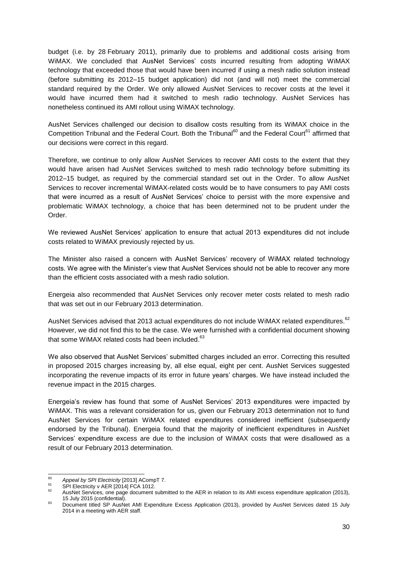budget (i.e. by 28 February 2011), primarily due to problems and additional costs arising from WiMAX. We concluded that AusNet Services' costs incurred resulting from adopting WiMAX technology that exceeded those that would have been incurred if using a mesh radio solution instead (before submitting its 2012–15 budget application) did not (and will not) meet the commercial standard required by the Order. We only allowed AusNet Services to recover costs at the level it would have incurred them had it switched to mesh radio technology. AusNet Services has nonetheless continued its AMI rollout using WiMAX technology.

AusNet Services challenged our decision to disallow costs resulting from its WiMAX choice in the Competition Tribunal and the Federal Court. Both the Tribunal<sup>60</sup> and the Federal Court<sup>61</sup> affirmed that our decisions were correct in this regard.

Therefore, we continue to only allow AusNet Services to recover AMI costs to the extent that they would have arisen had AusNet Services switched to mesh radio technology before submitting its 2012–15 budget, as required by the commercial standard set out in the Order. To allow AusNet Services to recover incremental WiMAX-related costs would be to have consumers to pay AMI costs that were incurred as a result of AusNet Services' choice to persist with the more expensive and problematic WiMAX technology, a choice that has been determined not to be prudent under the Order.

We reviewed AusNet Services' application to ensure that actual 2013 expenditures did not include costs related to WiMAX previously rejected by us.

The Minister also raised a concern with AusNet Services' recovery of WiMAX related technology costs. We agree with the Minister's view that AusNet Services should not be able to recover any more than the efficient costs associated with a mesh radio solution.

Energeia also recommended that AusNet Services only recover meter costs related to mesh radio that was set out in our February 2013 determination.

AusNet Services advised that 2013 actual expenditures do not include WiMAX related expenditures.<sup>62</sup> However, we did not find this to be the case. We were furnished with a confidential document showing that some WiMAX related costs had been included.<sup>63</sup>

We also observed that AusNet Services' submitted charges included an error. Correcting this resulted in proposed 2015 charges increasing by, all else equal, eight per cent. AusNet Services suggested incorporating the revenue impacts of its error in future years' charges. We have instead included the revenue impact in the 2015 charges.

Energeia's review has found that some of AusNet Services' 2013 expenditures were impacted by WiMAX. This was a relevant consideration for us, given our February 2013 determination not to fund AusNet Services for certain WiMAX related expenditures considered inefficient (subsequently endorsed by the Tribunal). Energeia found that the majority of inefficient expenditures in AusNet Services' expenditure excess are due to the inclusion of WiMAX costs that were disallowed as a result of our February 2013 determination.

 $60$ <sup>60</sup> *Appeal by SPI Electricity* [2013] ACompT 7.

 $^{61}$  SPI Electricity v AER [2014] FCA 1012.

AusNet Services, one page document submitted to the AER in relation to its AMI excess expenditure application (2013), 15 July 2015 (confidential).

<sup>63</sup> Document titled SP AusNet AMI Expenditure Excess Application (2013), provided by AusNet Services dated 15 July 2014 in a meeting with AER staff.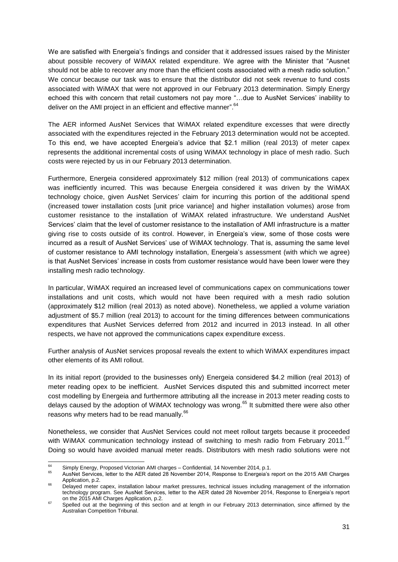We are satisfied with Energeia's findings and consider that it addressed issues raised by the Minister about possible recovery of WiMAX related expenditure. We agree with the Minister that "Ausnet should not be able to recover any more than the efficient costs associated with a mesh radio solution." We concur because our task was to ensure that the distributor did not seek revenue to fund costs associated with WiMAX that were not approved in our February 2013 determination. Simply Energy echoed this with concern that retail customers not pay more "…due to AusNet Services' inability to deliver on the AMI project in an efficient and effective manner".<sup>64</sup>

The AER informed AusNet Services that WiMAX related expenditure excesses that were directly associated with the expenditures rejected in the February 2013 determination would not be accepted. To this end, we have accepted Energeia's advice that \$2.1 million (real 2013) of meter capex represents the additional incremental costs of using WiMAX technology in place of mesh radio. Such costs were rejected by us in our February 2013 determination.

Furthermore, Energeia considered approximately \$12 million (real 2013) of communications capex was inefficiently incurred. This was because Energeia considered it was driven by the WiMAX technology choice, given AusNet Services' claim for incurring this portion of the additional spend (increased tower installation costs [unit price variance] and higher installation volumes) arose from customer resistance to the installation of WiMAX related infrastructure. We understand AusNet Services' claim that the level of customer resistance to the installation of AMI infrastructure is a matter giving rise to costs outside of its control. However, in Energeia's view, some of those costs were incurred as a result of AusNet Services' use of WiMAX technology. That is, assuming the same level of customer resistance to AMI technology installation, Energeia's assessment (with which we agree) is that AusNet Services' increase in costs from customer resistance would have been lower were they installing mesh radio technology.

In particular, WiMAX required an increased level of communications capex on communications tower installations and unit costs, which would not have been required with a mesh radio solution (approximately \$12 million (real 2013) as noted above). Nonetheless, we applied a volume variation adjustment of \$5.7 million (real 2013) to account for the timing differences between communications expenditures that AusNet Services deferred from 2012 and incurred in 2013 instead. In all other respects, we have not approved the communications capex expenditure excess.

Further analysis of AusNet services proposal reveals the extent to which WiMAX expenditures impact other elements of its AMI rollout.

In its initial report (provided to the businesses only) Energeia considered \$4.2 million (real 2013) of meter reading opex to be inefficient. AusNet Services disputed this and submitted incorrect meter cost modelling by Energeia and furthermore attributing all the increase in 2013 meter reading costs to delays caused by the adoption of WiMAX technology was wrong.<sup>65</sup> It submitted there were also other reasons why meters had to be read manually.<sup>66</sup>

Nonetheless, we consider that AusNet Services could not meet rollout targets because it proceeded with WiMAX communication technology instead of switching to mesh radio from February 2011.<sup>67</sup> Doing so would have avoided manual meter reads. Distributors with mesh radio solutions were not

 $64$ <sup>64</sup> Simply Energy, Proposed Victorian AMI charges – Confidential, 14 November 2014, p.1.<br><sup>65</sup> Augulat Sangiaca, latter to the AEB dated 28 November 2014, Bespecie to Energoia's

<sup>65</sup> AusNet Services, letter to the AER dated 28 November 2014, Response to Energeia's report on the 2015 AMI Charges Application, p.2. <sup>66</sup> Delayed meter capex, installation labour market pressures, technical issues including management of the information

technology program. See AusNet Services, letter to the AER dated 28 November 2014, Response to Energeia's report on the 2015 AMI Charges Application, p.2.

<sup>&</sup>lt;sup>67</sup> Spelled out at the beginning of this section and at length in our February 2013 determination, since affirmed by the Australian Competition Tribunal.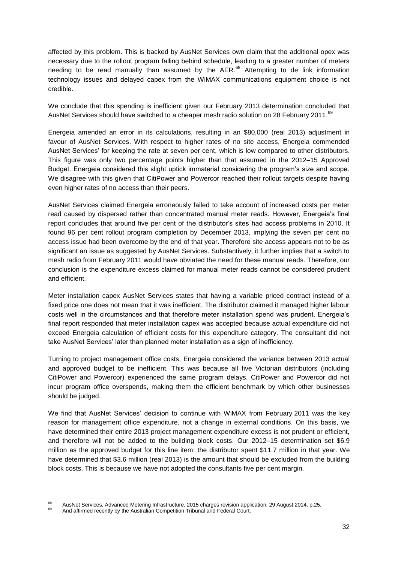affected by this problem. This is backed by AusNet Services own claim that the additional opex was necessary due to the rollout program falling behind schedule, leading to a greater number of meters needing to be read manually than assumed by the AER.<sup>68</sup> Attempting to de link information technology issues and delayed capex from the WiMAX communications equipment choice is not credible.

We conclude that this spending is inefficient given our February 2013 determination concluded that AusNet Services should have switched to a cheaper mesh radio solution on 28 February 2011.<sup>69</sup>

Energeia amended an error in its calculations, resulting in an \$80,000 (real 2013) adjustment in favour of AusNet Services. With respect to higher rates of no site access, Energeia commended AusNet Services' for keeping the rate at seven per cent, which is low compared to other distributors. This figure was only two percentage points higher than that assumed in the 2012–15 Approved Budget. Energeia considered this slight uptick immaterial considering the program's size and scope. We disagree with this given that CitiPower and Powercor reached their rollout targets despite having even higher rates of no access than their peers.

AusNet Services claimed Energeia erroneously failed to take account of increased costs per meter read caused by dispersed rather than concentrated manual meter reads. However, Energeia's final report concludes that around five per cent of the distributor's sites had access problems in 2010. It found 96 per cent rollout program completion by December 2013, implying the seven per cent no access issue had been overcome by the end of that year. Therefore site access appears not to be as significant an issue as suggested by AusNet Services. Substantively, it further implies that a switch to mesh radio from February 2011 would have obviated the need for these manual reads. Therefore, our conclusion is the expenditure excess claimed for manual meter reads cannot be considered prudent and efficient.

Meter installation capex AusNet Services states that having a variable priced contract instead of a fixed price one does not mean that it was inefficient. The distributor claimed it managed higher labour costs well in the circumstances and that therefore meter installation spend was prudent. Energeia's final report responded that meter installation capex was accepted because actual expenditure did not exceed Energeia calculation of efficient costs for this expenditure category. The consultant did not take AusNet Services' later than planned meter installation as a sign of inefficiency.

Turning to project management office costs, Energeia considered the variance between 2013 actual and approved budget to be inefficient. This was because all five Victorian distributors (including CitiPower and Powercor) experienced the same program delays. CitiPower and Powercor did not incur program office overspends, making them the efficient benchmark by which other businesses should be judged.

We find that AusNet Services' decision to continue with WiMAX from February 2011 was the key reason for management office expenditure, not a change in external conditions. On this basis, we have determined their entire 2013 project management expenditure excess is not prudent or efficient, and therefore will not be added to the building block costs. Our 2012–15 determination set \$6.9 million as the approved budget for this line item; the distributor spent \$11.7 million in that year. We have determined that \$3.6 million (real 2013) is the amount that should be excluded from the building block costs. This is because we have not adopted the consultants five per cent margin.

**RR** 68 AusNet Services, Advanced Metering Infrastructure, 2015 charges revision application, 29 August 2014, p.25.

And affirmed recently by the Australian Competition Tribunal and Federal Court.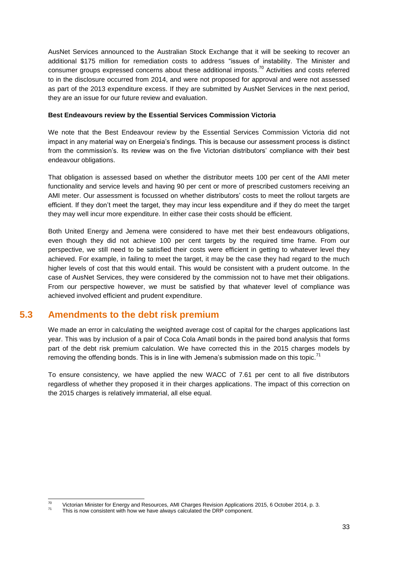AusNet Services announced to the Australian Stock Exchange that it will be seeking to recover an additional \$175 million for remediation costs to address "issues of instability. The Minister and consumer groups expressed concerns about these additional imposts.<sup>70</sup> Activities and costs referred to in the disclosure occurred from 2014, and were not proposed for approval and were not assessed as part of the 2013 expenditure excess. If they are submitted by AusNet Services in the next period, they are an issue for our future review and evaluation.

### **Best Endeavours review by the Essential Services Commission Victoria**

We note that the Best Endeavour review by the Essential Services Commission Victoria did not impact in any material way on Energeia's findings. This is because our assessment process is distinct from the commission's. Its review was on the five Victorian distributors' compliance with their best endeavour obligations.

That obligation is assessed based on whether the distributor meets 100 per cent of the AMI meter functionality and service levels and having 90 per cent or more of prescribed customers receiving an AMI meter. Our assessment is focussed on whether distributors' costs to meet the rollout targets are efficient. If they don't meet the target, they may incur less expenditure and if they do meet the target they may well incur more expenditure. In either case their costs should be efficient.

Both United Energy and Jemena were considered to have met their best endeavours obligations, even though they did not achieve 100 per cent targets by the required time frame. From our perspective, we still need to be satisfied their costs were efficient in getting to whatever level they achieved. For example, in failing to meet the target, it may be the case they had regard to the much higher levels of cost that this would entail. This would be consistent with a prudent outcome. In the case of AusNet Services, they were considered by the commission not to have met their obligations. From our perspective however, we must be satisfied by that whatever level of compliance was achieved involved efficient and prudent expenditure.

## **5.3 Amendments to the debt risk premium**

<span id="page-32-0"></span>We made an error in calculating the weighted average cost of capital for the charges applications last year. This was by inclusion of a pair of Coca Cola Amatil bonds in the paired bond analysis that forms part of the debt risk premium calculation. We have corrected this in the 2015 charges models by removing the offending bonds. This is in line with Jemena's submission made on this topic.<sup>71</sup>

To ensure consistency, we have applied the new WACC of 7.61 per cent to all five distributors regardless of whether they proposed it in their charges applications. The impact of this correction on the 2015 charges is relatively immaterial, all else equal.

 $70$  $\frac{70}{71}$  Victorian Minister for Energy and Resources, AMI Charges Revision Applications 2015, 6 October 2014, p. 3.

This is now consistent with how we have always calculated the DRP component.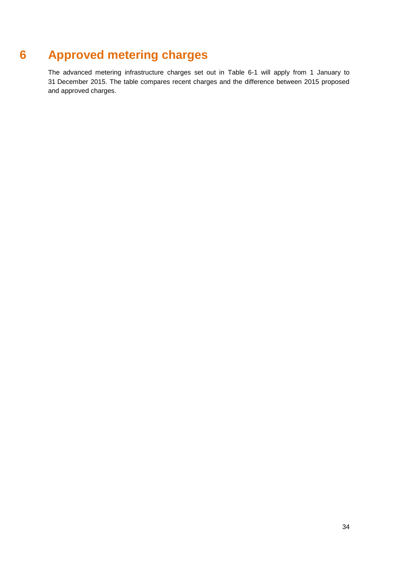## **6 Approved metering charges**

<span id="page-33-0"></span>The advanced metering infrastructure charges set out in [Table 6-1](#page-34-0) will apply from 1 January to 31 December 2015. The table compares recent charges and the difference between 2015 proposed and approved charges.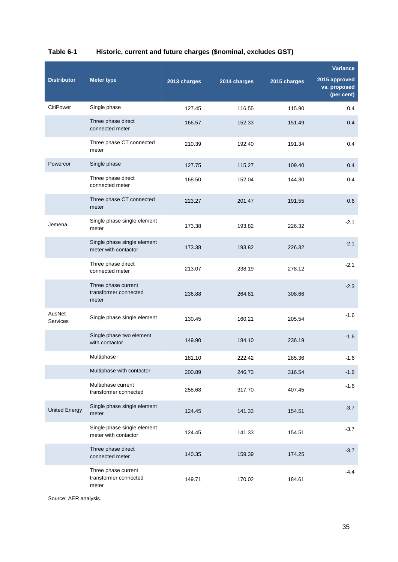|                      |                                                       |              |              |              | <b>Variance</b>                             |
|----------------------|-------------------------------------------------------|--------------|--------------|--------------|---------------------------------------------|
| <b>Distributor</b>   | <b>Meter type</b>                                     | 2013 charges | 2014 charges | 2015 charges | 2015 approved<br>vs. proposed<br>(per cent) |
| CitiPower            | Single phase                                          | 127.45       | 116.55       | 115.90       | 0.4                                         |
|                      | Three phase direct<br>connected meter                 | 166.57       | 152.33       | 151.49       | 0.4                                         |
|                      | Three phase CT connected<br>meter                     | 210.39       | 192.40       | 191.34       | 0.4                                         |
| Powercor             | Single phase                                          | 127.75       | 115.27       | 109.40       | 0.4                                         |
|                      | Three phase direct<br>connected meter                 | 168.50       | 152.04       | 144.30       | 0.4                                         |
|                      | Three phase CT connected<br>meter                     | 223.27       | 201.47       | 191.55       | 0.6                                         |
| Jemena               | Single phase single element<br>meter                  | 173.38       | 193.82       | 226.32       | $-2.1$                                      |
|                      | Single phase single element<br>meter with contactor   | 173.38       | 193.82       | 226.32       | $-2.1$                                      |
|                      | Three phase direct<br>connected meter                 | 213.07       | 238.19       | 278.12       | $-2.1$                                      |
|                      | Three phase current<br>transformer connected<br>meter | 236.88       | 264.81       | 308.66       | $-2.3$                                      |
| AusNet<br>Services   | Single phase single element                           | 130.45       | 160.21       | 205.54       | $-1.6$                                      |
|                      | Single phase two element<br>with contactor            | 149.90       | 184.10       | 236.19       | $-1.6$                                      |
|                      | Multiphase                                            | 181.10       | 222.42       | 285.36       | $-1.6$                                      |
|                      | Multiphase with contactor                             | 200.89       | 246.73       | 316.54       | $-1.6$                                      |
|                      | Multiphase current<br>transformer connected           | 258.68       | 317.70       | 407.45       | $-1.6$                                      |
| <b>United Energy</b> | Single phase single element<br>meter                  | 124.45       | 141.33       | 154.51       | $-3.7$                                      |
|                      | Single phase single element<br>meter with contactor   | 124.45       | 141.33       | 154.51       | $-3.7$                                      |
|                      | Three phase direct<br>connected meter                 | 140.35       | 159.39       | 174.25       | $-3.7$                                      |
|                      | Three phase current<br>transformer connected<br>meter | 149.71       | 170.02       | 184.61       | $-4.4$                                      |

## <span id="page-34-0"></span>**Table 6-1 Historic, current and future charges (\$nominal, excludes GST)**

Source: AER analysis.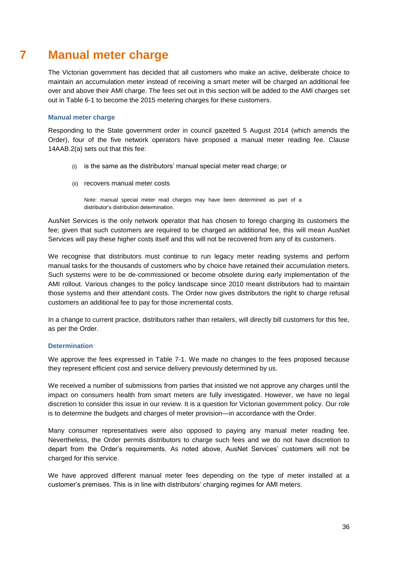## **7 Manual meter charge**

<span id="page-35-0"></span>The Victorian government has decided that all customers who make an active, deliberate choice to maintain an accumulation meter instead of receiving a smart meter will be charged an additional fee over and above their AMI charge. The fees set out in this section will be added to the AMI charges set out in [Table 6-1](#page-34-0) to become the 2015 metering charges for these customers.

### **Manual meter charge**

Responding to the State government order in council gazetted 5 August 2014 (which amends the Order), four of the five network operators have proposed a manual meter reading fee. Clause 14AAB.2(a) sets out that this fee:

- (i) is the same as the distributors' manual special meter read charge; or
- (ii) recovers manual meter costs

Note: manual special meter read charges may have been determined as part of a distributor's distribution determination.

AusNet Services is the only network operator that has chosen to forego charging its customers the fee; given that such customers are required to be charged an additional fee, this will mean AusNet Services will pay these higher costs itself and this will not be recovered from any of its customers.

We recognise that distributors must continue to run legacy meter reading systems and perform manual tasks for the thousands of customers who by choice have retained their accumulation meters. Such systems were to be de-commissioned or become obsolete during early implementation of the AMI rollout. Various changes to the policy landscape since 2010 meant distributors had to maintain those systems and their attendant costs. The Order now gives distributors the right to charge refusal customers an additional fee to pay for those incremental costs.

In a change to current practice, distributors rather than retailers, will directly bill customers for this fee, as per the Order.

### **Determination**

We approve the fees expressed in [Table 7-1.](#page-36-0) We made no changes to the fees proposed because they represent efficient cost and service delivery previously determined by us.

We received a number of submissions from parties that insisted we not approve any charges until the impact on consumers health from smart meters are fully investigated. However, we have no legal discretion to consider this issue in our review. It is a question for Victorian government policy. Our role is to determine the budgets and charges of meter provision—in accordance with the Order.

Many consumer representatives were also opposed to paying any manual meter reading fee. Nevertheless, the Order permits distributors to charge such fees and we do not have discretion to depart from the Order's requirements. As noted above, AusNet Services' customers will not be charged for this service.

We have approved different manual meter fees depending on the type of meter installed at a customer's premises. This is in line with distributors' charging regimes for AMI meters.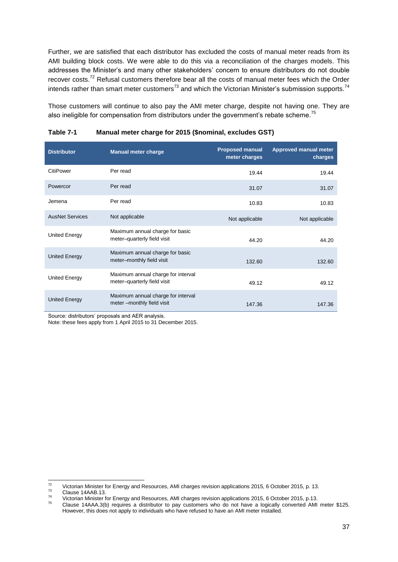Further, we are satisfied that each distributor has excluded the costs of manual meter reads from its AMI building block costs. We were able to do this via a reconciliation of the charges models. This addresses the Minister's and many other stakeholders' concern to ensure distributors do not double recover costs.<sup>72</sup> Refusal customers therefore bear all the costs of manual meter fees which the Order intends rather than smart meter customers<sup>73</sup> and which the Victorian Minister's submission supports.<sup>74</sup>

Those customers will continue to also pay the AMI meter charge, despite not having one. They are also ineligible for compensation from distributors under the government's rebate scheme.<sup>75</sup>

| <b>Distributor</b>     | <b>Manual meter charge</b>                                         | <b>Proposed manual</b><br>meter charges | <b>Approved manual meter</b><br>charges |
|------------------------|--------------------------------------------------------------------|-----------------------------------------|-----------------------------------------|
| CitiPower              | Per read                                                           | 19.44                                   | 19.44                                   |
| Powercor               | Per read                                                           | 31.07                                   | 31.07                                   |
| Jemena                 | Per read                                                           | 10.83                                   | 10.83                                   |
| <b>AusNet Services</b> | Not applicable                                                     | Not applicable                          | Not applicable                          |
| United Energy          | Maximum annual charge for basic<br>meter-quarterly field visit     | 44.20                                   | 44.20                                   |
| <b>United Energy</b>   | Maximum annual charge for basic<br>meter-monthly field visit       | 132.60                                  | 132.60                                  |
| United Energy          | Maximum annual charge for interval<br>meter-quarterly field visit  | 49.12                                   | 49.12                                   |
| <b>United Energy</b>   | Maximum annual charge for interval<br>meter -- monthly field visit | 147.36                                  | 147.36                                  |

<span id="page-36-0"></span>**Table 7-1 Manual meter charge for 2015 (\$nominal, excludes GST)**

Source: distributors' proposals and AER analysis.

Note: these fees apply from 1 April 2015 to 31 December 2015.

 $72$ <sup>72</sup> Victorian Minister for Energy and Resources, AMI charges revision applications 2015, 6 October 2015, p. 13.<br><sup>73</sup> Clause 444AR 43

 $^{73}$  Clause 14AAB.13.<br> $^{74}$  Victorian Minister for

<sup>&</sup>lt;sup>74</sup> Victorian Minister for Energy and Resources, AMI charges revision applications 2015, 6 October 2015, p.13.

Clause 14AAA.3(b) requires a distributor to pay customers who do not have a logically converted AMI meter \$125. However, this does not apply to individuals who have refused to have an AMI meter installed.